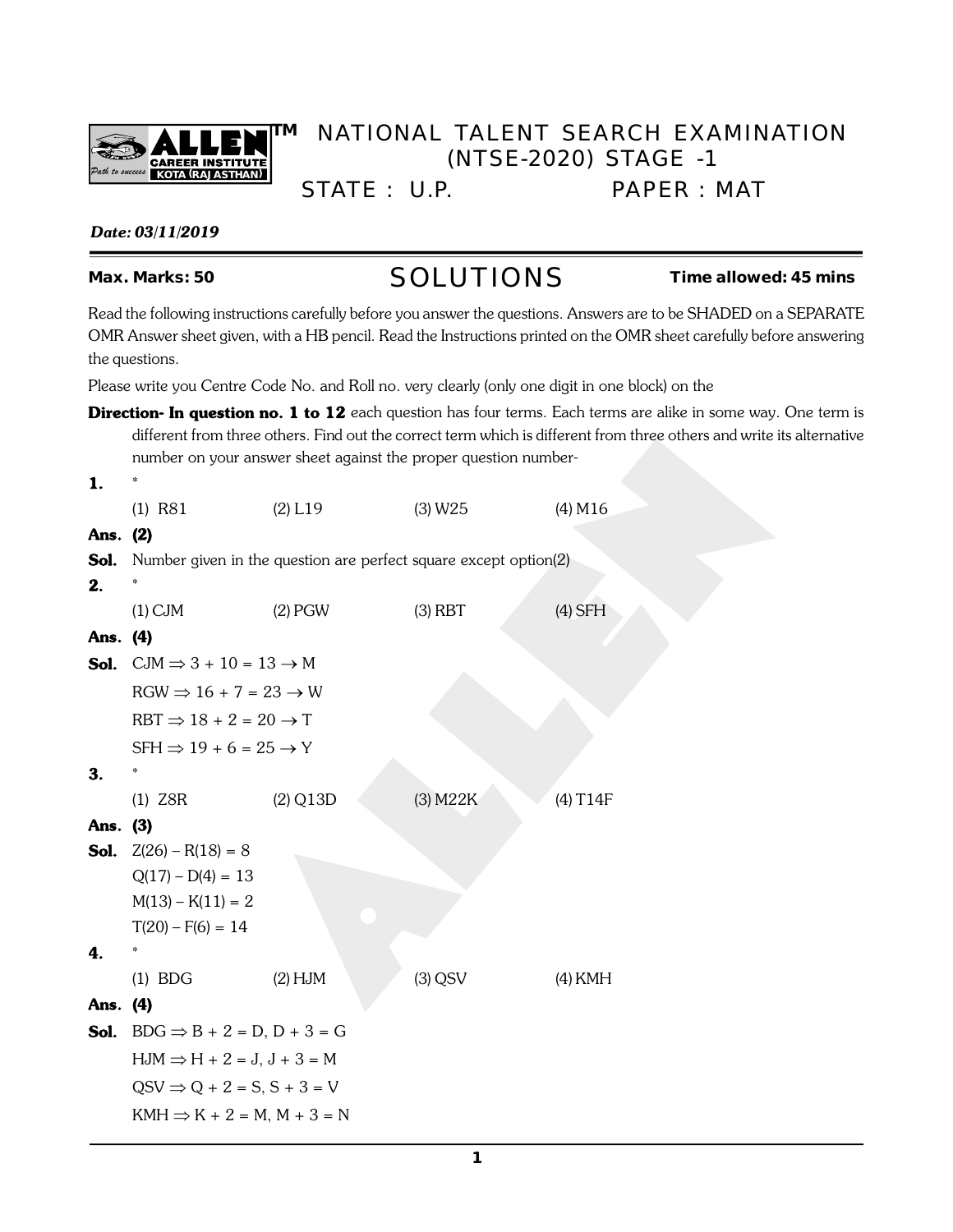

## **TM** NATIONAL TALENT SEARCH EXAMINATION (NTSE-2020) STAGE -1

STATE : U.P. PAPER : MAT

## **Date: 03/11/2019**

# Max. Marks: 50 **SOLUTIONS** Time allowed: 45 mins

Read the following instructions carefully before you answer the questions. Answers are to be SHADED on a SEPARATE OMR Answer sheet given, with a HB pencil. Read the Instructions printed on the OMR sheet carefully before answering the questions.

Please write you Centre Code No. and Roll no. very clearly (only one digit in one block) on the

**Direction- In question no. 1 to 12** each question has four terms. Each terms are alike in some way. One term is different from three others. Find out the correct term which is different from three others and write its alternative number on your answer sheet against the proper question number-

| 1.       | $\mathcal{R}$                                                             |                                                                  |           |           |
|----------|---------------------------------------------------------------------------|------------------------------------------------------------------|-----------|-----------|
|          | $(1)$ R81                                                                 | $(2)$ L19                                                        | (3) W25   | $(4)$ M16 |
| Ans. (2) |                                                                           |                                                                  |           |           |
| Sol.     |                                                                           | Number given in the question are perfect square except option(2) |           |           |
| 2.       |                                                                           |                                                                  |           |           |
|          | $(1)$ CJM                                                                 | $(2)$ PGW                                                        | $(3)$ RBT | $(4)$ SFH |
| Ans. (4) |                                                                           |                                                                  |           |           |
|          | <b>Sol.</b> CJM $\Rightarrow$ 3 + 10 = 13 $\rightarrow$ M                 |                                                                  |           |           |
|          | $RGW \Rightarrow 16 + 7 = 23 \rightarrow W$                               |                                                                  |           |           |
|          | $RBT \Rightarrow 18 + 2 = 20 \rightarrow T$                               |                                                                  |           |           |
|          | $SFH \Rightarrow 19 + 6 = 25 \rightarrow Y$                               |                                                                  |           |           |
| 3.       | $\boldsymbol{\pi}$                                                        |                                                                  |           |           |
|          | $(1)$ Z8R                                                                 | $(2)$ Q13D                                                       | (3) M22K  | (4) T14F  |
| Ans. (3) |                                                                           |                                                                  |           |           |
|          | <b>Sol.</b> $Z(26) - R(18) = 8$                                           |                                                                  |           |           |
|          | $Q(17) - D(4) = 13$                                                       |                                                                  |           |           |
|          | $M(13) - K(11) = 2$                                                       |                                                                  |           |           |
|          | $T(20) - F(6) = 14$                                                       |                                                                  |           |           |
| 4.       | $\ast$                                                                    |                                                                  |           |           |
|          | $(1)$ BDG                                                                 | $(2)$ HJM                                                        | $(3)$ QSV | $(4)$ KMH |
| Ans. (4) |                                                                           |                                                                  |           |           |
|          | <b>Sol.</b> BDG $\Rightarrow$ B + 2 = D, D + 3 = G                        |                                                                  |           |           |
|          | $HJM \Rightarrow H + 2 = J, J + 3 = M$                                    |                                                                  |           |           |
|          | $\text{QSV} \Rightarrow \text{Q} + 2 = \text{S}, \text{S} + 3 = \text{V}$ |                                                                  |           |           |
|          | $KMH \Rightarrow K + 2 = M, M + 3 = N$                                    |                                                                  |           |           |
|          |                                                                           |                                                                  |           |           |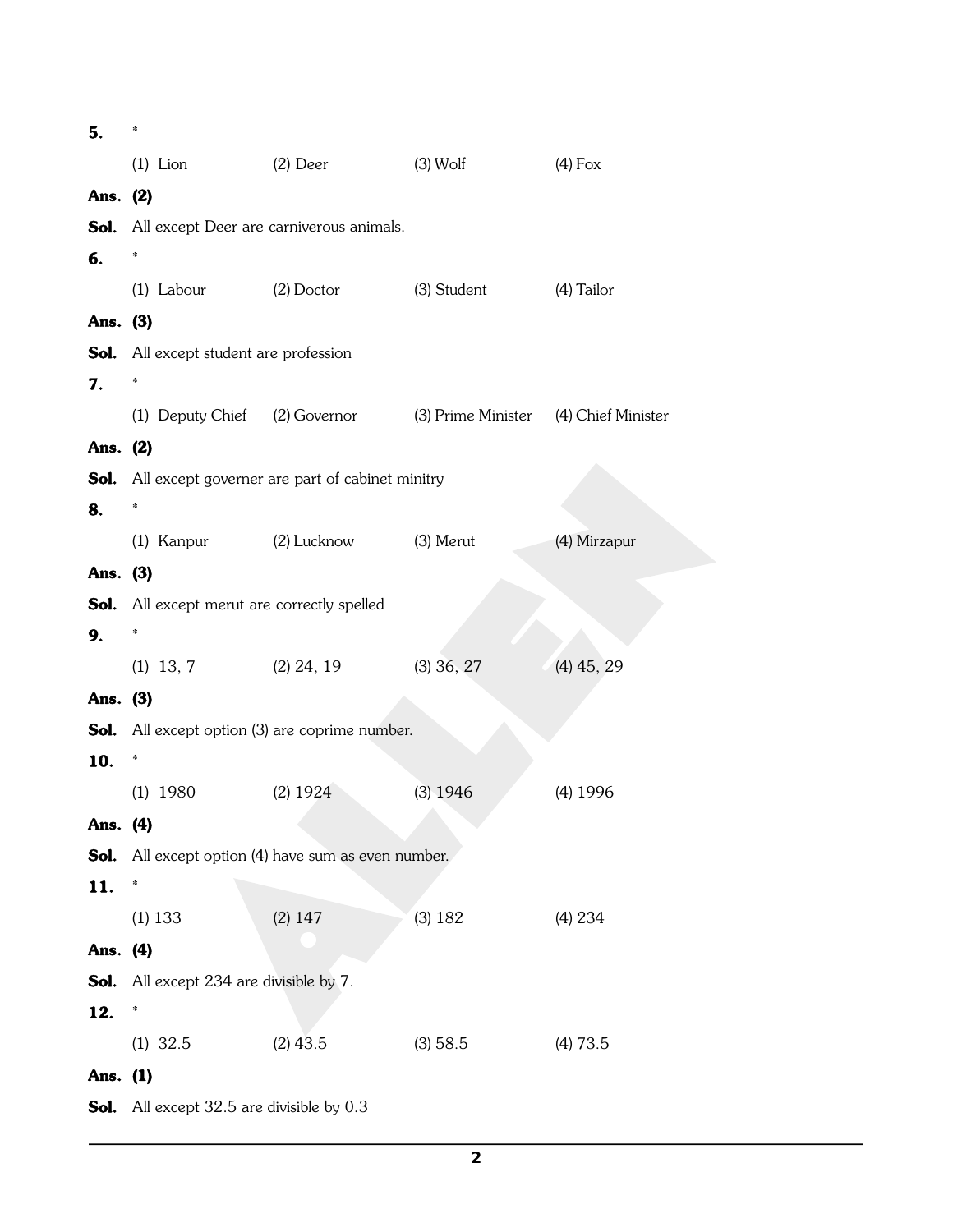| 5.       | $\mathbb{I}$                                       |                                                                     |              |              |  |  |  |  |
|----------|----------------------------------------------------|---------------------------------------------------------------------|--------------|--------------|--|--|--|--|
|          |                                                    | (1) Lion $(2)$ Deer $(3)$ Wolf                                      |              | $(4)$ Fox    |  |  |  |  |
| Ans. (2) |                                                    |                                                                     |              |              |  |  |  |  |
|          |                                                    | <b>Sol.</b> All except Deer are carniverous animals.                |              |              |  |  |  |  |
| 6.       | $\frac{1}{2}$                                      |                                                                     |              |              |  |  |  |  |
|          | (1) Labour (2) Doctor                              |                                                                     | (3) Student  | (4) Tailor   |  |  |  |  |
| Ans. (3) |                                                    |                                                                     |              |              |  |  |  |  |
|          | <b>Sol.</b> All except student are profession      |                                                                     |              |              |  |  |  |  |
| 7.       | $\frac{1}{2}$                                      |                                                                     |              |              |  |  |  |  |
|          |                                                    | (1) Deputy Chief (2) Governor (3) Prime Minister (4) Chief Minister |              |              |  |  |  |  |
| Ans. (2) |                                                    |                                                                     |              |              |  |  |  |  |
|          |                                                    | <b>Sol.</b> All except governer are part of cabinet minitry         |              |              |  |  |  |  |
| 8.       | $\frac{1}{2}$                                      |                                                                     |              |              |  |  |  |  |
|          |                                                    | (1) Kanpur (2) Lucknow (3) Merut                                    |              | (4) Mirzapur |  |  |  |  |
| Ans. (3) |                                                    |                                                                     |              |              |  |  |  |  |
|          | <b>Sol.</b> All except merut are correctly spelled |                                                                     |              |              |  |  |  |  |
| 9.       | $\frac{1}{2}$                                      |                                                                     |              |              |  |  |  |  |
|          | $(1)$ 13, 7                                        | $(2)$ 24, 19                                                        | $(3)$ 36, 27 | $(4)$ 45, 29 |  |  |  |  |
| Ans. (3) |                                                    |                                                                     |              |              |  |  |  |  |
|          |                                                    | <b>Sol.</b> All except option (3) are coprime number.               |              |              |  |  |  |  |
| 10.      | ¢                                                  |                                                                     |              |              |  |  |  |  |
|          | $(1)$ 1980                                         | $(2)$ 1924                                                          | $(3)$ 1946   | $(4)$ 1996   |  |  |  |  |
| Ans. (4) |                                                    |                                                                     |              |              |  |  |  |  |
| Sol.     |                                                    | All except option (4) have sum as even number.                      |              |              |  |  |  |  |
| 11.      | ÷                                                  |                                                                     |              |              |  |  |  |  |
|          | $(1)$ 133                                          | $(2)$ 147                                                           | (3) 182      | (4) 234      |  |  |  |  |
| Ans. (4) |                                                    |                                                                     |              |              |  |  |  |  |
| Sol.     | All except 234 are divisible by 7.                 |                                                                     |              |              |  |  |  |  |
| 12.      | ÷                                                  |                                                                     |              |              |  |  |  |  |
|          | $(1)$ 32.5                                         | $(2)$ 43.5                                                          | (3) 58.5     | (4) 73.5     |  |  |  |  |
| Ans. (1) |                                                    |                                                                     |              |              |  |  |  |  |
| Sol.     | All except 32.5 are divisible by 0.3               |                                                                     |              |              |  |  |  |  |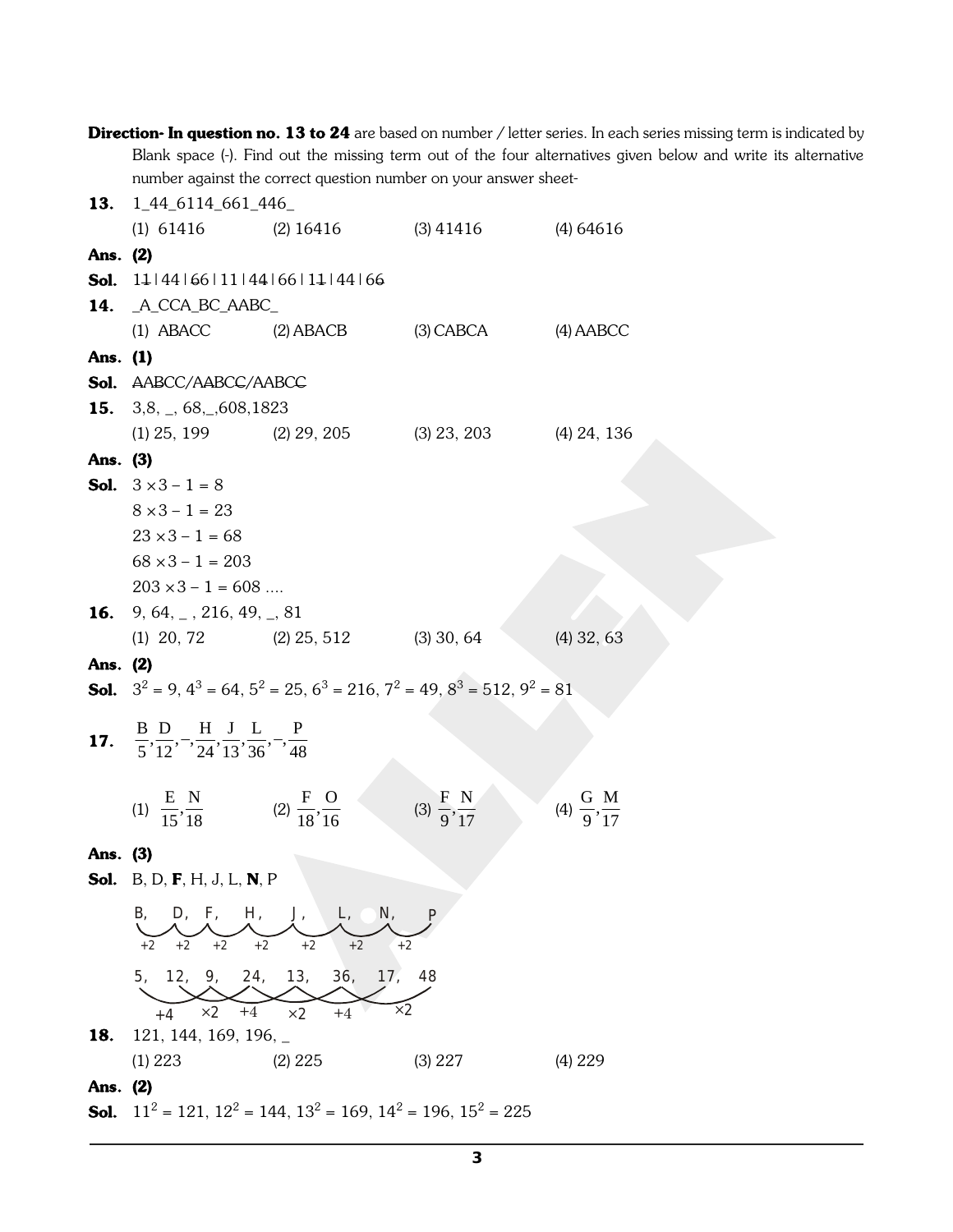|          |                                                                                                  |                                                                                                       |                                 | <b>Direction- In question no. 13 to 24</b> are based on number / letter series. In each series missing term is indicated by |
|----------|--------------------------------------------------------------------------------------------------|-------------------------------------------------------------------------------------------------------|---------------------------------|-----------------------------------------------------------------------------------------------------------------------------|
|          |                                                                                                  |                                                                                                       |                                 | Blank space (-). Find out the missing term out of the four alternatives given below and write its alternative               |
|          |                                                                                                  | number against the correct question number on your answer sheet-                                      |                                 |                                                                                                                             |
| 13.      | 1_44_6114_661_446_                                                                               |                                                                                                       |                                 |                                                                                                                             |
|          | $(1)$ 61416                                                                                      | $(2)$ 16416                                                                                           | $(3)$ 41416                     | $(4)$ 64616                                                                                                                 |
| Ans. (2) |                                                                                                  |                                                                                                       |                                 |                                                                                                                             |
| Sol.     | 14 44 66 11 44 66 14 44 66                                                                       |                                                                                                       |                                 |                                                                                                                             |
| 14.      | _A_CCA_BC_AABC_                                                                                  |                                                                                                       |                                 |                                                                                                                             |
|          | $(1)$ ABACC                                                                                      | $(2)$ ABACB                                                                                           | $(3)$ CABCA                     | $(4)$ AABCC                                                                                                                 |
| Ans. (1) |                                                                                                  |                                                                                                       |                                 |                                                                                                                             |
|          | <b>Sol.</b> AABCC/AABCC/AABCC                                                                    |                                                                                                       |                                 |                                                                                                                             |
|          | <b>15.</b> 3,8, $\Box$ , 68, $\Box$ , 608, 1823                                                  |                                                                                                       |                                 |                                                                                                                             |
|          |                                                                                                  | $(1)$ 25, 199 $(2)$ 29, 205 $(3)$ 23, 203                                                             |                                 | $(4)$ 24, 136                                                                                                               |
| Ans. (3) |                                                                                                  |                                                                                                       |                                 |                                                                                                                             |
|          | <b>Sol.</b> $3 \times 3 - 1 = 8$                                                                 |                                                                                                       |                                 |                                                                                                                             |
|          | $8 \times 3 - 1 = 23$                                                                            |                                                                                                       |                                 |                                                                                                                             |
|          | $23 \times 3 - 1 = 68$                                                                           |                                                                                                       |                                 |                                                                                                                             |
|          | $68 \times 3 - 1 = 203$                                                                          |                                                                                                       |                                 |                                                                                                                             |
|          | $203 \times 3 - 1 = 608$                                                                         |                                                                                                       |                                 |                                                                                                                             |
|          | <b>16.</b> 9, 64, $\overline{)}$ , 216, 49, $\overline{)}$ , 81                                  |                                                                                                       |                                 |                                                                                                                             |
|          |                                                                                                  | (1) 20, 72 	(2) $25, 512$ (3) 30, 64                                                                  |                                 | $(4)$ 32, 63                                                                                                                |
| Ans. (2) |                                                                                                  |                                                                                                       |                                 |                                                                                                                             |
|          |                                                                                                  | <b>Sol.</b> $3^2 = 9$ , $4^3 = 64$ , $5^2 = 25$ , $6^3 = 216$ , $7^2 = 49$ , $8^3 = 512$ , $9^2 = 81$ |                                 |                                                                                                                             |
|          | <b>17.</b> $\frac{B}{5}, \frac{D}{12}, -\frac{H}{24}, \frac{J}{13}, \frac{L}{36}, -\frac{P}{48}$ |                                                                                                       |                                 |                                                                                                                             |
|          |                                                                                                  |                                                                                                       |                                 |                                                                                                                             |
|          |                                                                                                  |                                                                                                       |                                 |                                                                                                                             |
|          | (1) $\frac{E}{15}, \frac{N}{18}$ (2) $\frac{F}{18}, \frac{O}{16}$                                |                                                                                                       | (3) $\frac{F}{9}, \frac{N}{17}$ | (4) $\frac{G}{9}, \frac{M}{17}$                                                                                             |
|          |                                                                                                  |                                                                                                       |                                 |                                                                                                                             |
| Ans. (3) |                                                                                                  |                                                                                                       |                                 |                                                                                                                             |
|          | <b>Sol.</b> B, D, <b>F</b> , H, J, L, <b>N</b> , P                                               |                                                                                                       |                                 |                                                                                                                             |
|          | B,<br>D, F, H,                                                                                   | N,<br>$J_{\perp}$<br>$L_{\iota}$                                                                      |                                 |                                                                                                                             |
|          | $+2$ $+2$<br>$+2$<br>$+2$                                                                        | $+2$<br>$+2$<br>$+2$                                                                                  |                                 |                                                                                                                             |
|          |                                                                                                  |                                                                                                       |                                 |                                                                                                                             |
|          |                                                                                                  | 5, 12, 9, 24, 13, 36, 17, 48                                                                          |                                 |                                                                                                                             |
|          | $\times 2$<br>$+4$<br>$+4$                                                                       | $\times 2$<br>$\times 2$<br>$+4$                                                                      |                                 |                                                                                                                             |
| 18.      | 121, 144, 169, 196, $\overline{\phantom{0}}$                                                     |                                                                                                       |                                 |                                                                                                                             |
|          | (1) 223                                                                                          | $(2)$ 225                                                                                             | (3) 227                         | (4) 229                                                                                                                     |
| Ans. (2) |                                                                                                  |                                                                                                       |                                 |                                                                                                                             |

**Sol.**  $11^2 = 121$ ,  $12^2 = 144$ ,  $13^2 = 169$ ,  $14^2 = 196$ ,  $15^2 = 225$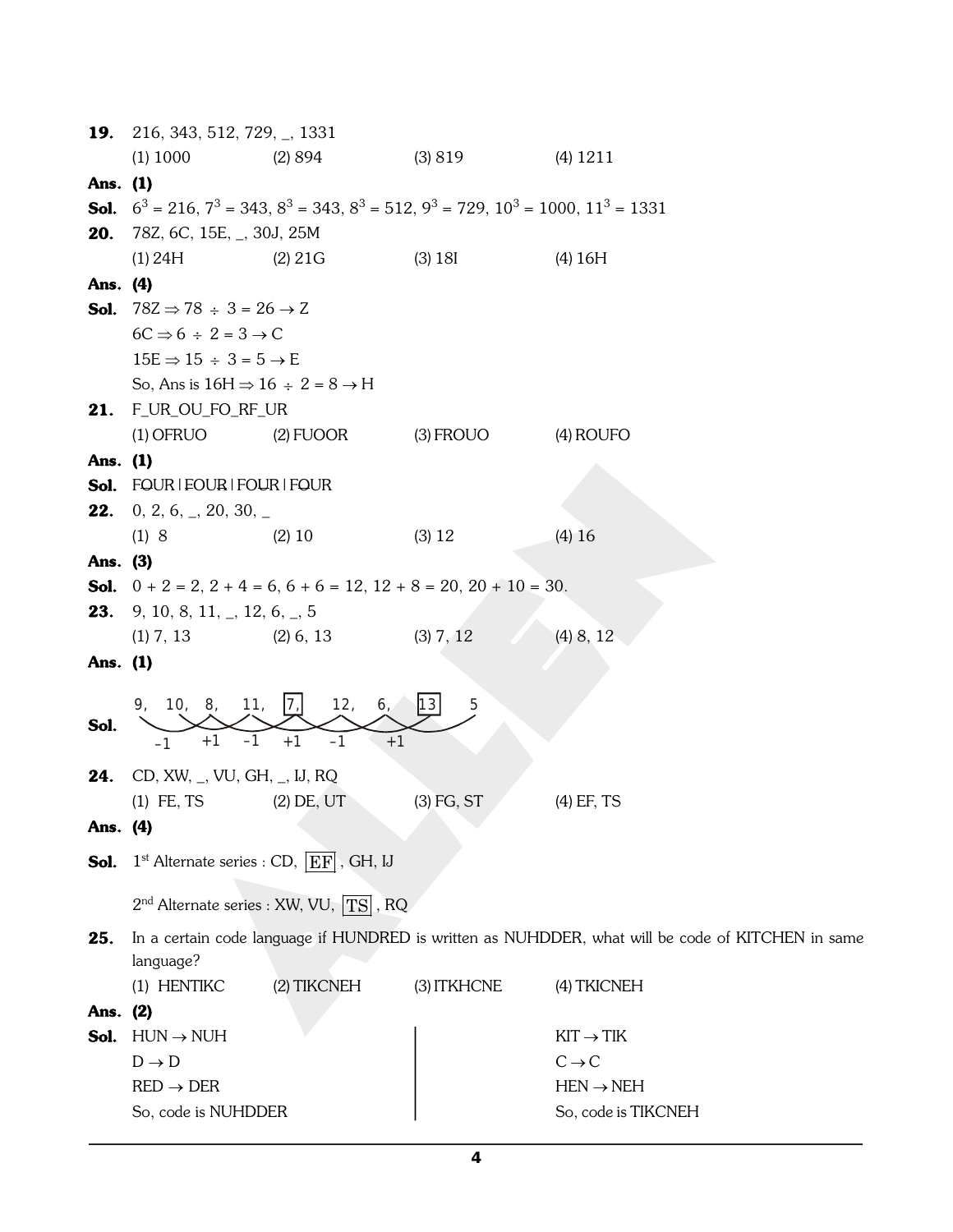|          | <b>19.</b> 216, 343, 512, 729, $\Box$ , 1331                                                                    |                                            |              |                                                                                                   |  |  |  |  |
|----------|-----------------------------------------------------------------------------------------------------------------|--------------------------------------------|--------------|---------------------------------------------------------------------------------------------------|--|--|--|--|
|          | $(1)$ 1000                                                                                                      | (2) 894                                    | (3)819       | $(4)$ 1211                                                                                        |  |  |  |  |
| Ans. (1) |                                                                                                                 |                                            |              |                                                                                                   |  |  |  |  |
|          | <b>Sol.</b> $6^3 = 216$ , $7^3 = 343$ , $8^3 = 343$ , $8^3 = 512$ , $9^3 = 729$ , $10^3 = 1000$ , $11^3 = 1331$ |                                            |              |                                                                                                   |  |  |  |  |
| 20.      | 78Z, 6C, 15E, _, 30J, 25M                                                                                       |                                            |              |                                                                                                   |  |  |  |  |
|          | (2) 21G<br>(1) 24H                                                                                              |                                            | (3) 18I      | (4) 16H                                                                                           |  |  |  |  |
| Ans. (4) |                                                                                                                 |                                            |              |                                                                                                   |  |  |  |  |
|          | <b>Sol.</b> $782 \Rightarrow 78 \div 3 = 26 \rightarrow Z$                                                      |                                            |              |                                                                                                   |  |  |  |  |
|          | $6C \Rightarrow 6 \div 2 = 3 \rightarrow C$                                                                     |                                            |              |                                                                                                   |  |  |  |  |
|          | $15E \Rightarrow 15 \div 3 = 5 \rightarrow E$                                                                   |                                            |              |                                                                                                   |  |  |  |  |
|          | So, Ans is $16H \Rightarrow 16 \div 2 = 8 \rightarrow H$                                                        |                                            |              |                                                                                                   |  |  |  |  |
|          | 21. F_UR_OU_FO_RF_UR                                                                                            |                                            |              |                                                                                                   |  |  |  |  |
|          | $(1)$ OFRUO $(2)$ FUOOR                                                                                         |                                            | $(3)$ FROUO  | (4) ROUFO                                                                                         |  |  |  |  |
| Ans. (1) |                                                                                                                 |                                            |              |                                                                                                   |  |  |  |  |
|          | <b>Sol.</b> FOUR   FOUR   FOUR   FOUR                                                                           |                                            |              |                                                                                                   |  |  |  |  |
| 22.      | 0, 2, 6, $\overline{2}$ , 20, 30, $\overline{2}$                                                                |                                            |              |                                                                                                   |  |  |  |  |
|          | (1)8                                                                                                            | $(2)$ 10                                   | (3) 12       | $(4)$ 16                                                                                          |  |  |  |  |
| Ans. (3) |                                                                                                                 |                                            |              |                                                                                                   |  |  |  |  |
|          | <b>Sol.</b> $0 + 2 = 2$ , $2 + 4 = 6$ , $6 + 6 = 12$ , $12 + 8 = 20$ , $20 + 10 = 30$ .                         |                                            |              |                                                                                                   |  |  |  |  |
|          | <b>23.</b> 9, 10, 8, 11, $\Box$ , 12, 6, $\Box$ , 5                                                             |                                            |              |                                                                                                   |  |  |  |  |
|          | $(1)$ 7, 13                                                                                                     | $(2)$ 6, 13                                | (3) 7, 12    | $(4)$ 8, 12                                                                                       |  |  |  |  |
| Ans. (1) |                                                                                                                 |                                            |              |                                                                                                   |  |  |  |  |
|          | 9, 10, 8, 11,                                                                                                   | 7 <br>12,<br>6 <sub>l</sub>                | 13 <br>5     |                                                                                                   |  |  |  |  |
| Sol.     |                                                                                                                 |                                            |              |                                                                                                   |  |  |  |  |
|          | $+1$<br>-1<br>$-1$                                                                                              | $+1$<br>$-1$<br>$+1$                       |              |                                                                                                   |  |  |  |  |
| 24.      | $CD, XW, _, VU, GH, _, IJ, RQ$                                                                                  |                                            |              |                                                                                                   |  |  |  |  |
|          | $(1)$ FE, TS                                                                                                    | $(2)$ DE, UT                               | $(3)$ FG, ST | $(4)$ EF, TS                                                                                      |  |  |  |  |
| Ans. (4) |                                                                                                                 |                                            |              |                                                                                                   |  |  |  |  |
| Sol.     | $1st$ Alternate series : CD, $ EF $ , GH, IJ                                                                    |                                            |              |                                                                                                   |  |  |  |  |
|          |                                                                                                                 |                                            |              |                                                                                                   |  |  |  |  |
|          |                                                                                                                 | $2nd$ Alternate series : XW, VU, $TS$ , RQ |              |                                                                                                   |  |  |  |  |
| 25.      |                                                                                                                 |                                            |              | In a certain code language if HUNDRED is written as NUHDDER, what will be code of KITCHEN in same |  |  |  |  |
|          | language?                                                                                                       |                                            |              |                                                                                                   |  |  |  |  |
|          | (1) HENTIKC                                                                                                     | (2) TIKCNEH                                | (3) ITKHCNE  | (4) TKICNEH                                                                                       |  |  |  |  |
| Ans. (2) |                                                                                                                 |                                            |              |                                                                                                   |  |  |  |  |
| Sol.     | $HUN \rightarrow NUH$                                                                                           |                                            |              | $KIT \rightarrow TIK$                                                                             |  |  |  |  |
|          | $D \rightarrow D$                                                                                               |                                            |              | $C \rightarrow C$                                                                                 |  |  |  |  |
|          | $RED \rightarrow DER$                                                                                           |                                            |              | $HEN \rightarrow NEH$                                                                             |  |  |  |  |
|          | So, code is NUHDDER                                                                                             |                                            |              | So, code is TIKCNEH                                                                               |  |  |  |  |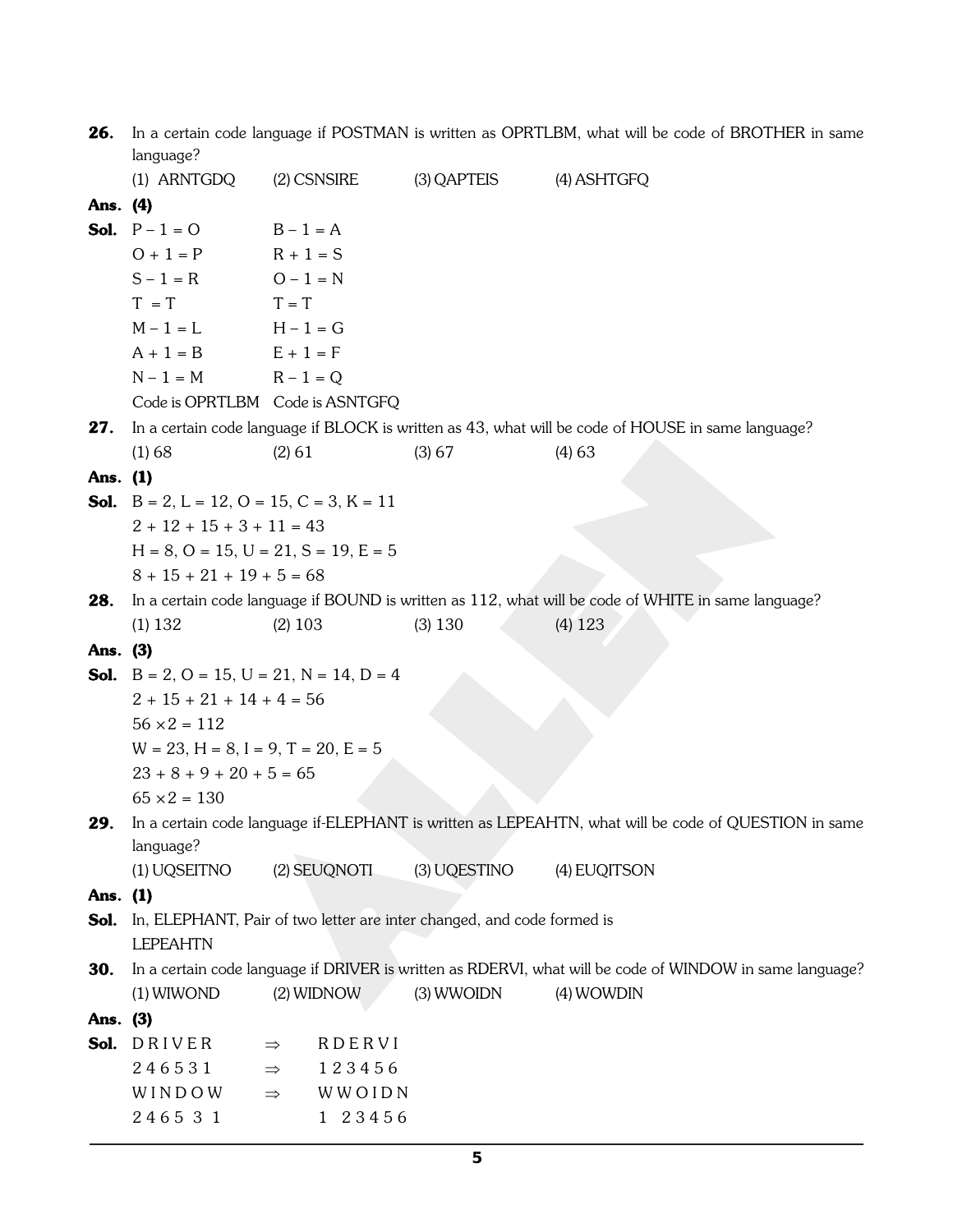| <b>26.</b> In a certain code language if POSTMAN is written as OPRTLBM, what will be code of BROTHER in same |
|--------------------------------------------------------------------------------------------------------------|
| language?                                                                                                    |

|          | (1) ARNTGDQ                                                    | $(2)$ CSNSIRE                                                                      | (3) QAPTEIS  | (4) ASHTGFQ                                                                                              |
|----------|----------------------------------------------------------------|------------------------------------------------------------------------------------|--------------|----------------------------------------------------------------------------------------------------------|
| Ans. (4) |                                                                |                                                                                    |              |                                                                                                          |
|          | <b>Sol.</b> $P - 1 = 0$                                        | $B - 1 = A$                                                                        |              |                                                                                                          |
|          | $O + 1 = P$                                                    | $R + 1 = S$                                                                        |              |                                                                                                          |
|          | $S - 1 = R$                                                    | $O - 1 = N$                                                                        |              |                                                                                                          |
|          | $T = T$                                                        | $T = T$                                                                            |              |                                                                                                          |
|          | $M - 1 = L$                                                    | $H - 1 = G$                                                                        |              |                                                                                                          |
|          | $A + 1 = B$                                                    | $E + 1 = F$                                                                        |              |                                                                                                          |
|          | $N - 1 = M$                                                    | $R - 1 = Q$                                                                        |              |                                                                                                          |
|          | Code is OPRTLBM Code is ASNTGFQ                                |                                                                                    |              |                                                                                                          |
| 27.      |                                                                |                                                                                    |              | In a certain code language if BLOCK is written as 43, what will be code of HOUSE in same language?       |
|          | $(1)$ 68                                                       | $(2)$ 61                                                                           | (3) 67       | $(4)$ 63                                                                                                 |
| Ans. (1) |                                                                |                                                                                    |              |                                                                                                          |
|          | <b>Sol.</b> $B = 2$ , $L = 12$ , $O = 15$ , $C = 3$ , $K = 11$ |                                                                                    |              |                                                                                                          |
|          | $2 + 12 + 15 + 3 + 11 = 43$                                    |                                                                                    |              |                                                                                                          |
|          | $H = 8$ , $O = 15$ , $U = 21$ , $S = 19$ , $E = 5$             |                                                                                    |              |                                                                                                          |
|          | $8 + 15 + 21 + 19 + 5 = 68$                                    |                                                                                    |              |                                                                                                          |
| 28.      |                                                                |                                                                                    |              | In a certain code language if BOUND is written as 112, what will be code of WHITE in same language?      |
|          | (1) 132                                                        | $(2)$ 103                                                                          | $(3)$ 130    | $(4)$ 123                                                                                                |
| Ans. (3) |                                                                |                                                                                    |              |                                                                                                          |
|          | <b>Sol.</b> $B = 2$ , $O = 15$ , $U = 21$ , $N = 14$ , $D = 4$ |                                                                                    |              |                                                                                                          |
|          | $2 + 15 + 21 + 14 + 4 = 56$                                    |                                                                                    |              |                                                                                                          |
|          | $56 \times 2 = 112$                                            |                                                                                    |              |                                                                                                          |
|          | $W = 23$ , $H = 8$ , $I = 9$ , $T = 20$ , $E = 5$              |                                                                                    |              |                                                                                                          |
|          | $23 + 8 + 9 + 20 + 5 = 65$                                     |                                                                                    |              |                                                                                                          |
|          | $65 \times 2 = 130$                                            |                                                                                    |              |                                                                                                          |
| 29.      |                                                                |                                                                                    |              | In a certain code language if-ELEPHANT is written as LEPEAHTN, what will be code of QUESTION in same     |
|          | language?                                                      |                                                                                    |              |                                                                                                          |
|          | (1) UQSEITNO                                                   | (2) SEUQNOTI                                                                       | (3) UQESTINO | (4) EUQITSON                                                                                             |
| Ans. (1) |                                                                |                                                                                    |              |                                                                                                          |
|          |                                                                | <b>Sol.</b> In, ELEPHANT, Pair of two letter are inter changed, and code formed is |              |                                                                                                          |
|          | <b>LEPEAHTN</b>                                                |                                                                                    |              |                                                                                                          |
| 30.      |                                                                |                                                                                    |              | In a certain code language if DRIVER is written as RDERVI, what will be code of WINDOW in same language? |
|          | $(1)$ WIWOND                                                   | (2) WIDNOW                                                                         | (3) WWOIDN   | $(4)$ WOWDIN                                                                                             |
| Ans. (3) |                                                                |                                                                                    |              |                                                                                                          |
| Sol.     | DRIVER                                                         | RDERVI<br>$\Rightarrow$                                                            |              |                                                                                                          |
|          | 246531                                                         | 123456<br>$\Rightarrow$                                                            |              |                                                                                                          |
|          | WINDOW                                                         | WWOIDN<br>$\Rightarrow$                                                            |              |                                                                                                          |
|          | 246531                                                         | 1 23456                                                                            |              |                                                                                                          |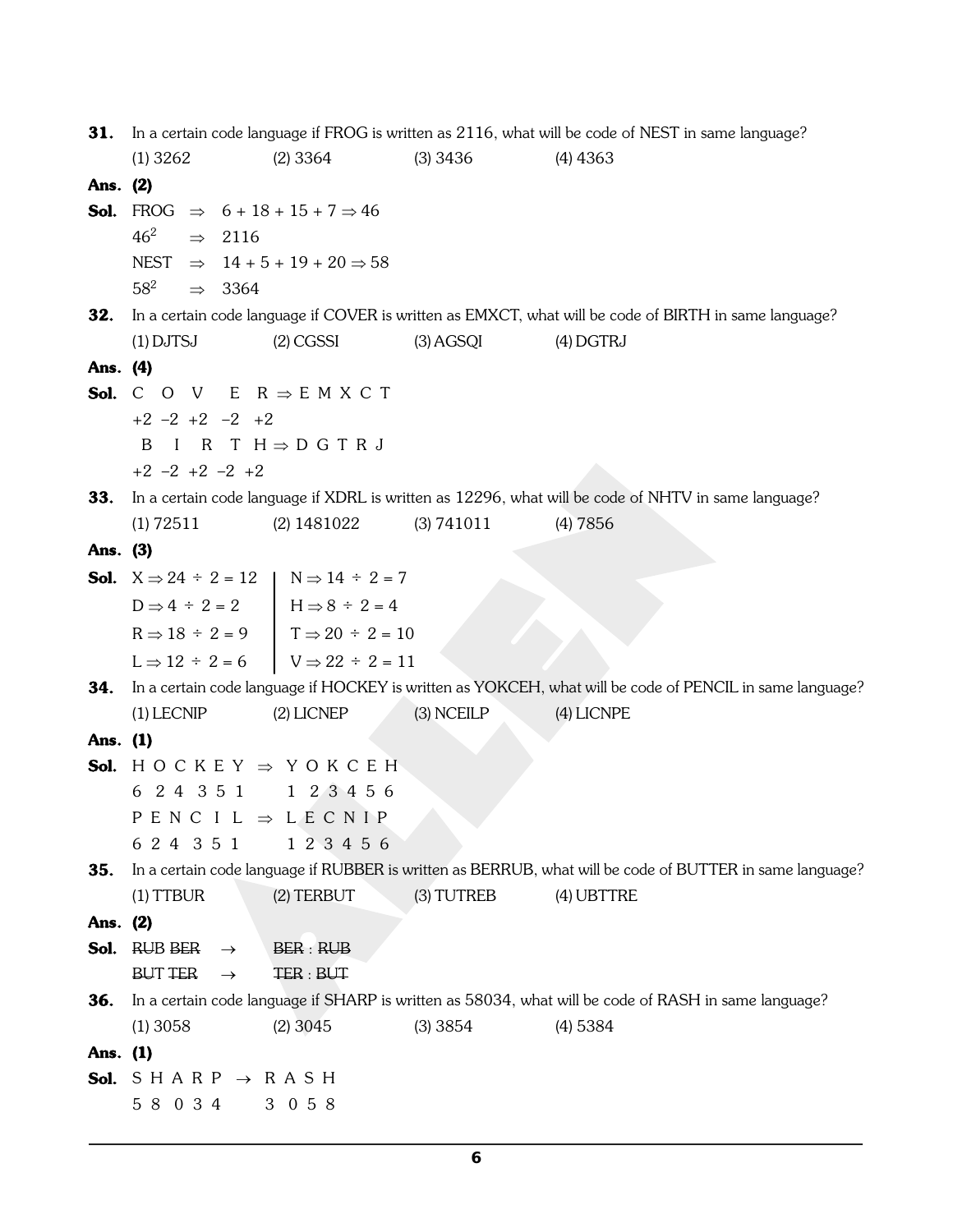**31.** In a certain code language if FROG is written as 2116, what will be code of NEST in same language? (1) 3262 (2) 3364 (3) 3436 (4) 4363 **Ans. (2) Sol.** FROG  $\Rightarrow$  6 + 18 + 15 + 7  $\Rightarrow$  46  $46^2$   $\Rightarrow$  2116 NEST  $\Rightarrow$  14 + 5 + 19 + 20  $\Rightarrow$  58  $58^2$   $\Rightarrow$  3364 **32.** In a certain code language if COVER is written as EMXCT, what will be code of BIRTH in same language? (1) DJTSJ (2) CGSSI (3) AGSQI (4) DGTRJ **Ans. (4) Sol.** C O V E  $R \Rightarrow E$  M X C T +2 –2 +2 –2 +2  $B$  I R T H  $\Rightarrow$  D G T R J +2 –2 +2 –2 +2 **33.** In a certain code language if XDRL is written as 12296, what will be code of NHTV in same language? (1) 72511 (2) 1481022 (3) 741011 (4) 7856 **Ans. (3) Sol.**  $X \Rightarrow 24 \div 2 = 12$   $N \Rightarrow 14 \div 2 = 7$  $D \implies 4 \div 2 = 2$   $H \implies 8 \div 2 = 4$  $R \Rightarrow 18 \div 2 = 9$   $T \Rightarrow 20 \div 2 = 10$  $L \Rightarrow 12 \div 2 = 6$   $V \Rightarrow 22 \div 2 = 11$ **34.** In a certain code language if HOCKEY is written as YOKCEH, what will be code of PENCIL in same language? (1) LECNIP (2) LICNEP (3) NCEILP (4) LICNPE **Ans. (1) Sol.**  $H O C K E Y \Rightarrow Y O K C E H$ 6 2 4 3 5 1 1 2 3 4 5 6 P E N C I L  $\Rightarrow$  L E C N I P 6 2 4 3 5 1 1 2 3 4 5 6 **35.** In a certain code language if RUBBER is written as BERRUB, what will be code of BUTTER in same language? (1) TTBUR (2) TERBUT (3) TUTREB (4) UBTTRE **Ans. (2)**  $Sol.$  RUB BER  $\rightarrow$  BER : RUB BUT TER  $\rightarrow$  TER : BUT **36.** In a certain code language if SHARP is written as 58034, what will be code of RASH in same language? (1) 3058 (2) 3045 (3) 3854 (4) 5384 **Ans. (1) Sol.**  $S H A R P \rightarrow R A S H$ 5 8 0 3 4 3 0 5 8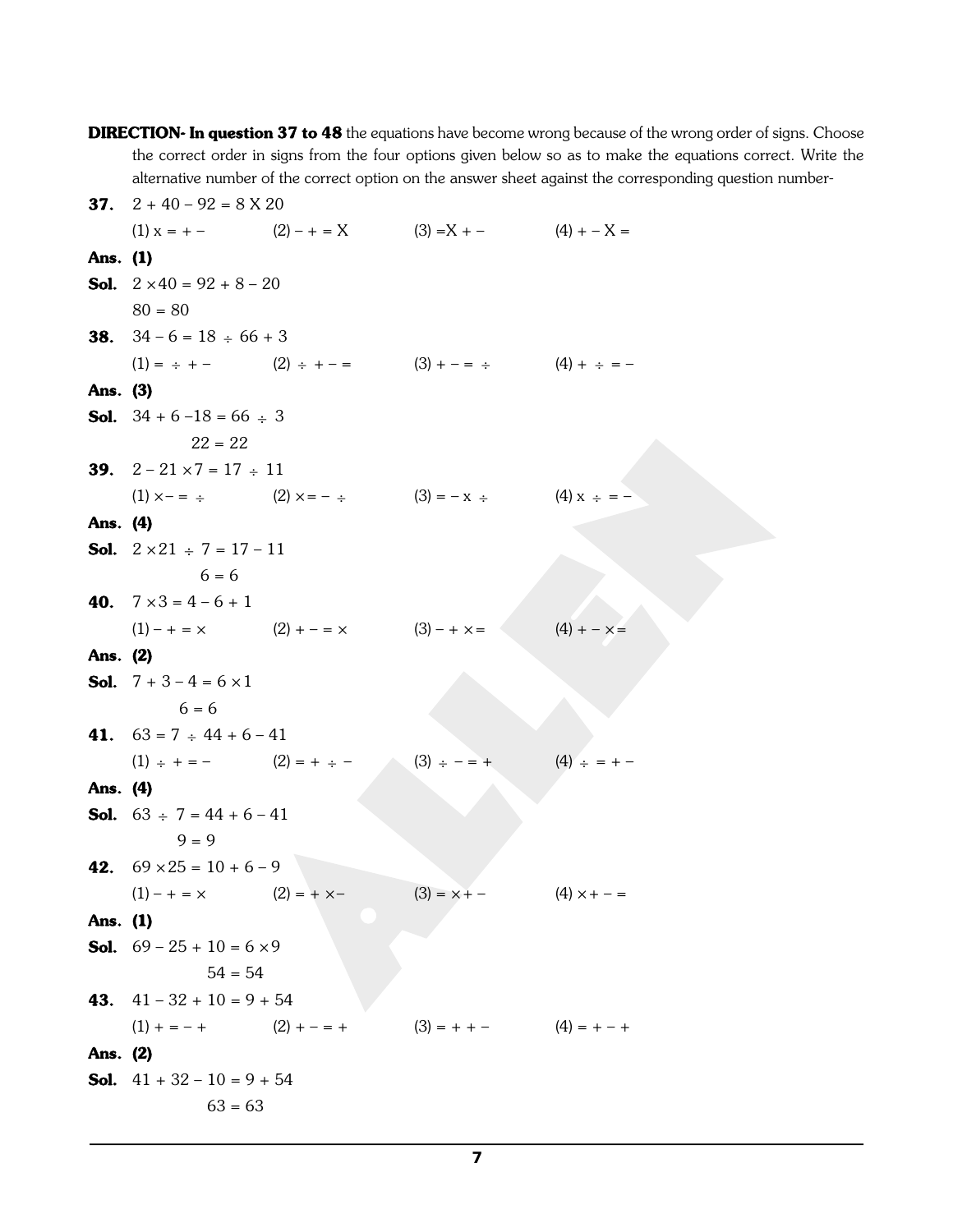**DIRECTION- In question 37 to 48** the equations have become wrong because of the wrong order of signs. Choose the correct order in signs from the four options given below so as to make the equations correct. Write the alternative number of the correct option on the answer sheet against the corresponding question number-**37.**  $2 + 40 - 92 = 8 \text{ X } 20$ (1)  $x = + -$  (2)  $- + = X$  (3)  $=X + -$  (4)  $+ - X =$ **Ans. (1) Sol.**  $2 \times 40 = 92 + 8 - 20$  $80 = 80$ **38.**  $34 - 6 = 18 \div 66 + 3$  $(1) = \div + (2) \div + - =$   $(3) + - = \div$   $(4) + \div = -$ **Ans. (3) Sol.**  $34 + 6 - 18 = 66 \div 3$  $22 = 22$ **39.**  $2 - 21 \times 7 = 17 \div 11$ (1)  $x - = \div$  (2)  $x = - \div$  (3)  $= -x \div$  (4)  $x \div = -$ **Ans. (4) Sol.**  $2 \times 21 \div 7 = 17 - 11$  $6 = 6$ **40.**  $7 \times 3 = 4 - 6 + 1$  $(1) - + = \times$   $(2) + - = \times$   $(3) - + \times =$   $(4) + - \times =$ **Ans. (2) Sol.**  $7 + 3 - 4 = 6 \times 1$  $6 = 6$ **41.**  $63 = 7 \div 44 + 6 - 41$  $(1) \div + = (2) = + \div (3) \div - = +$   $(4) \div = + -$ **Ans. (4) Sol.**  $63 \div 7 = 44 + 6 - 41$  $9 = 9$ **42.**  $69 \times 25 = 10 + 6 - 9$  $(1) - + = \times$   $(2) = + \times (3) = \times + (4) \times + - =$ **Ans. (1) Sol.**  $69 - 25 + 10 = 6 \times 9$  $54 = 54$ 43.  $41 - 32 + 10 = 9 + 54$  $(1) + = - +$   $(2) + - = +$   $(3) = + - +$   $(4) = + - +$ **Ans. (2) Sol.**  $41 + 32 - 10 = 9 + 54$  $63 = 63$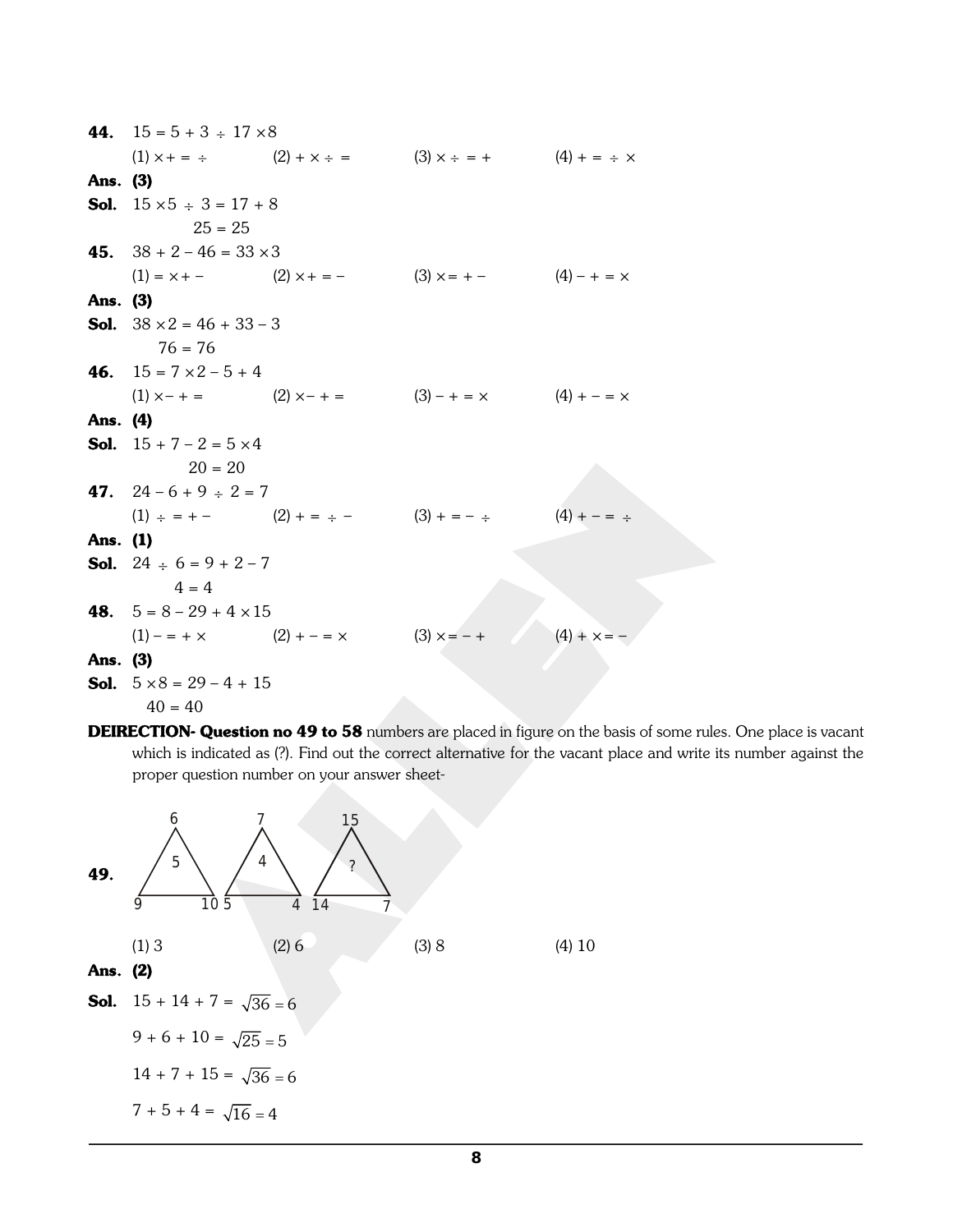|          | 44. $15 = 5 + 3 \div 17 \times 8$         |                                           |                                                                   |               |
|----------|-------------------------------------------|-------------------------------------------|-------------------------------------------------------------------|---------------|
|          |                                           |                                           | (1) $x + 3 = 3$ (2) $+ x - 2 = 3$ (3) $x - 3 = 4$ (4) $+ 3 = 5$ x |               |
| Ans. (3) |                                           |                                           |                                                                   |               |
|          | <b>Sol.</b> $15 \times 5 \div 3 = 17 + 8$ |                                           |                                                                   |               |
|          | $25 = 25$                                 |                                           |                                                                   |               |
|          | 45. $38 + 2 - 46 = 33 \times 3$           |                                           |                                                                   |               |
|          |                                           |                                           | $(1) = x +  (2) x + =  (3) x =  (4) - + = x$                      |               |
| Ans. (3) |                                           |                                           |                                                                   |               |
|          | <b>Sol.</b> $38 \times 2 = 46 + 33 - 3$   |                                           |                                                                   |               |
|          | $76 = 76$                                 |                                           |                                                                   |               |
|          | 46. $15 = 7 \times 2 - 5 + 4$             |                                           |                                                                   |               |
|          |                                           |                                           | (1) $x - + =$ (2) $x - + =$ (3) $- + = x$ (4) $+ - = x$           |               |
| Ans. (4) |                                           |                                           |                                                                   |               |
|          | <b>Sol.</b> $15 + 7 - 2 = 5 \times 4$     |                                           |                                                                   |               |
|          | $20 = 20$                                 |                                           |                                                                   |               |
|          | 47. $24-6+9 \div 2=7$                     |                                           |                                                                   |               |
|          |                                           |                                           | (1) $\div$ = + - (2) + = $\div$ - (3) + = $\div$ (4) + - = $\div$ |               |
| Ans. (1) |                                           |                                           |                                                                   |               |
|          | <b>Sol.</b> 24 $\div$ 6 = 9 + 2 - 7       |                                           |                                                                   |               |
|          | $4 = 4$                                   |                                           |                                                                   |               |
|          | <b>48.</b> $5 = 8 - 29 + 4 \times 15$     |                                           |                                                                   |               |
|          |                                           | $(1)$ – = + × $(2)$ + – = × $(3)$ × = – + |                                                                   | $(4) + x = -$ |
| Ans. (3) |                                           |                                           |                                                                   |               |
|          |                                           |                                           |                                                                   |               |
|          | <b>Sol.</b> $5 \times 8 = 29 - 4 + 15$    |                                           |                                                                   |               |

**DEIRECTION- Question no 49 to 58** numbers are placed in figure on the basis of some rules. One place is vacant which is indicated as (?). Find out the correct alternative for the vacant place and write its number against the proper question number on your answer sheet-

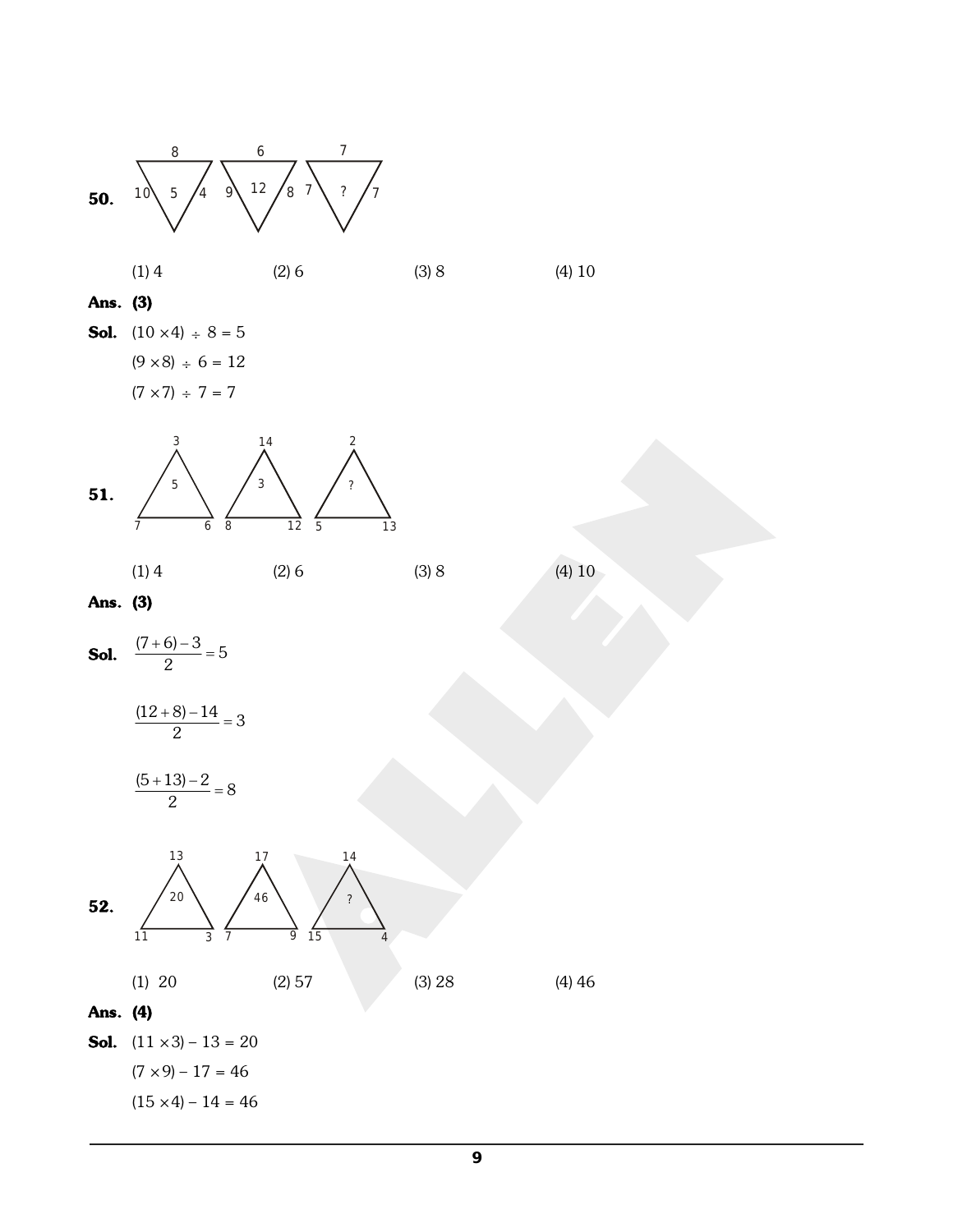

 $=3$  $\frac{(12+8)-14}{2}=3$ 

$$
\frac{(5+13)-2}{2} = 8
$$



 $(7 \times 9) - 17 = 46$ 

 $(15 \times 4) - 14 = 46$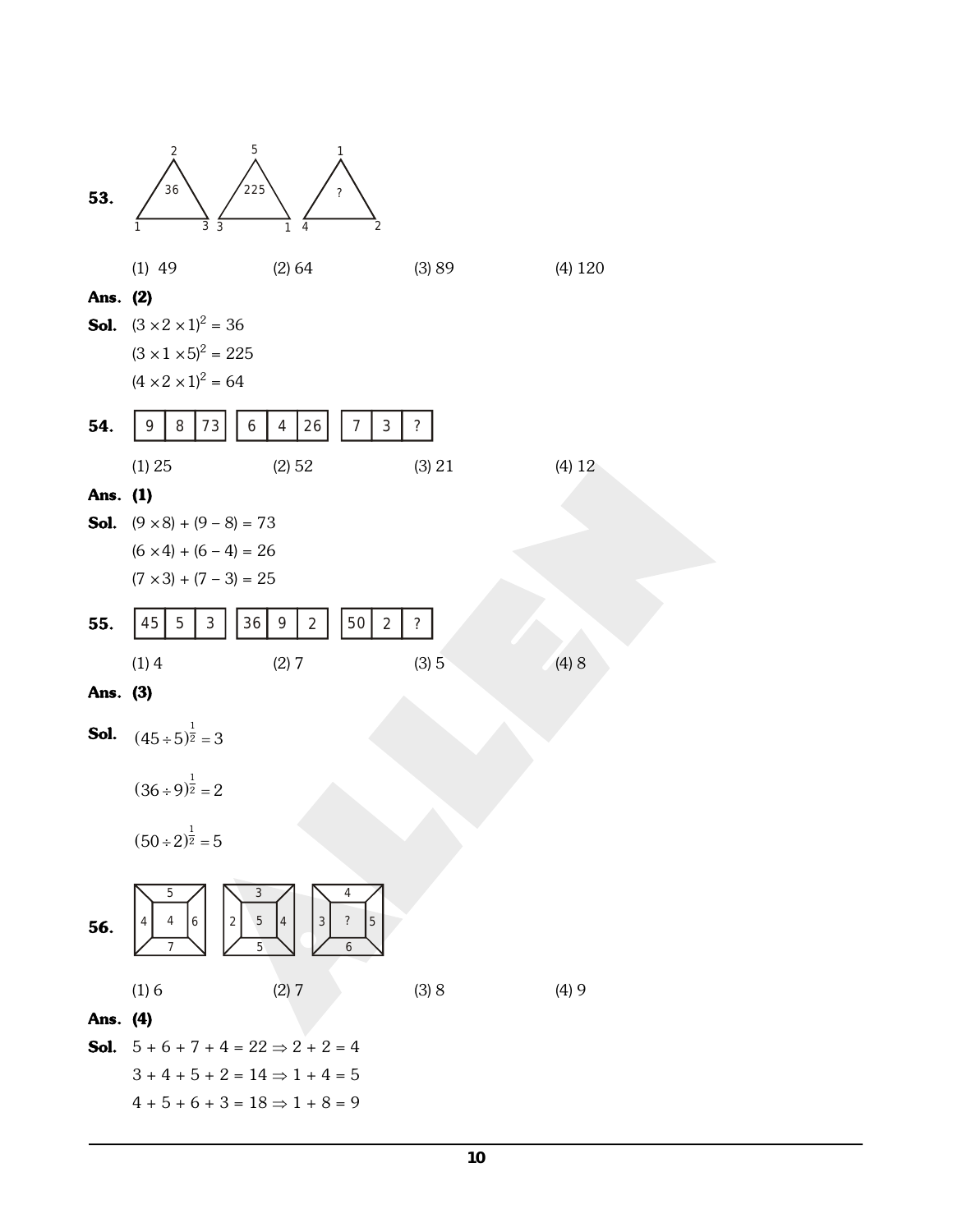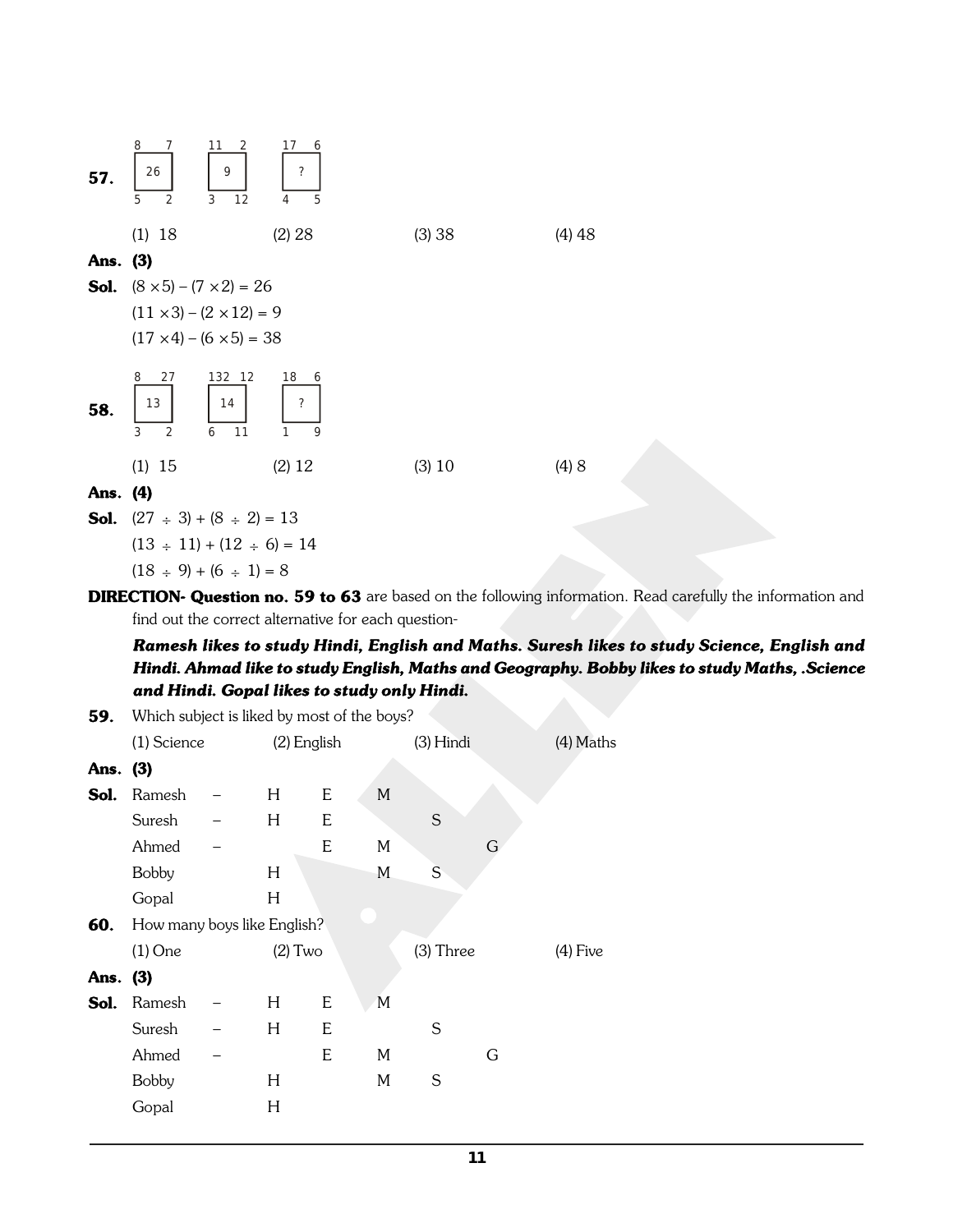

**DIRECTION- Question no. 59 to 63** are based on the following information. Read carefully the information and find out the correct alternative for each question-

*Ramesh likes to study Hindi, English and Maths. Suresh likes to study Science, English and Hindi. Ahmad like to study English, Maths and Geography. Bobby likes to study Maths, .Science and Hindi. Gopal likes to study only Hindi.*

| 59.      | Which subject is liked by most of the boys? |  |             |   |             |           |   |             |
|----------|---------------------------------------------|--|-------------|---|-------------|-----------|---|-------------|
|          | (1) Science                                 |  | (2) English |   |             | (3) Hindi |   | $(4)$ Maths |
| Ans. (3) |                                             |  |             |   |             |           |   |             |
| Sol.     | Ramesh                                      |  | H           | E | $M_{\odot}$ |           |   |             |
|          | Suresh                                      |  | H           | E |             | S         |   |             |
|          | Ahmed                                       |  |             | E | M           |           | G |             |
|          | <b>Bobby</b>                                |  | H           |   | M           | S         |   |             |
|          | Gopal                                       |  | H           |   |             |           |   |             |
| 60.      | How many boys like English?                 |  |             |   |             |           |   |             |
|          | $(1)$ One                                   |  | $(2)$ Two   |   |             | (3) Three |   | $(4)$ Five  |
| Ans. (3) |                                             |  |             |   |             |           |   |             |
| Sol.     | Ramesh                                      |  | H           | E | M           |           |   |             |
|          | Suresh                                      |  | H           | E |             | S         |   |             |
|          | Ahmed                                       |  |             | E | M           |           | G |             |
|          | <b>Bobby</b>                                |  | H           |   | M           | S         |   |             |
|          | Gopal                                       |  | H           |   |             |           |   |             |
|          |                                             |  |             |   |             |           |   |             |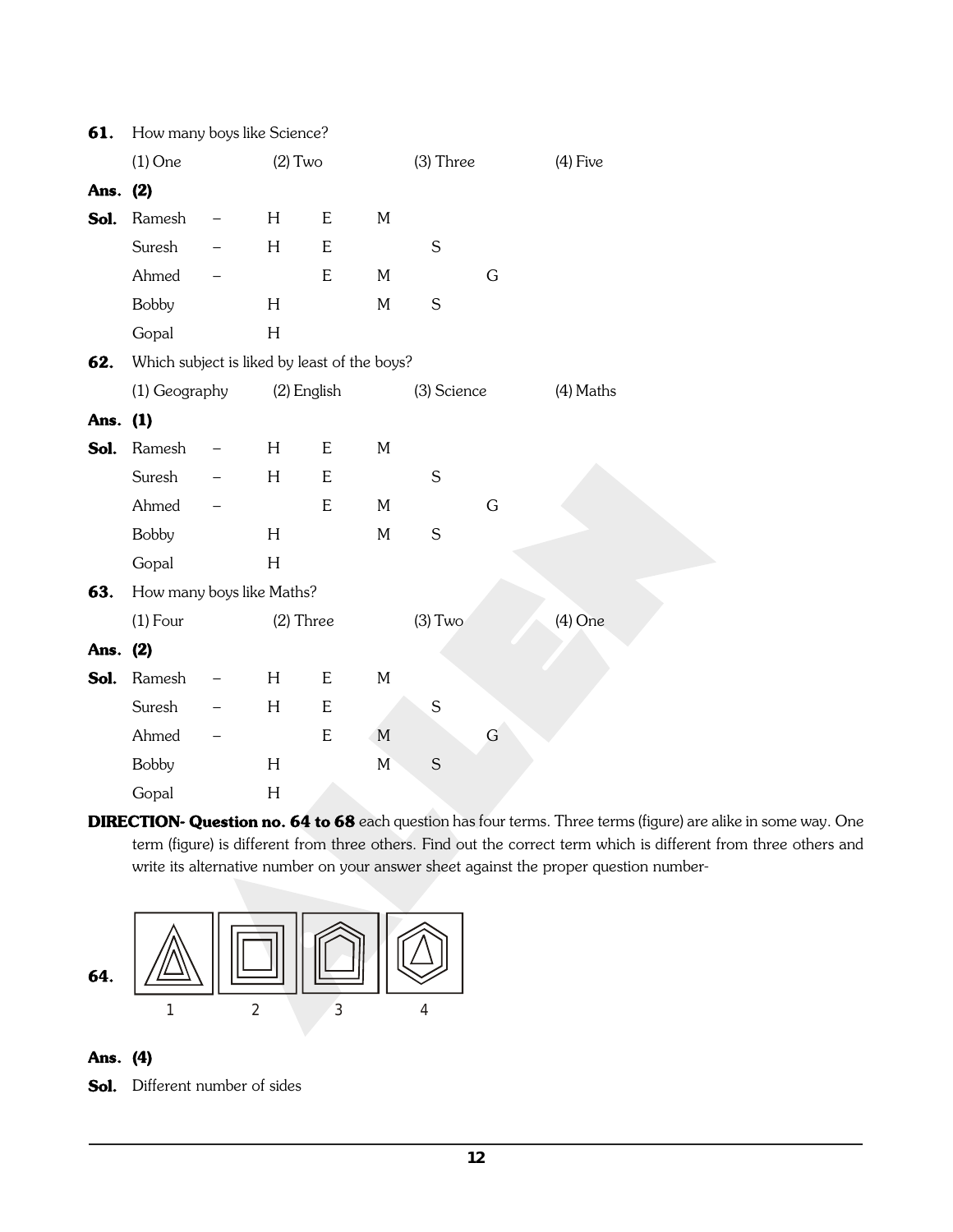| 61.      | How many boys like Science?                  |             |             |           |             |   |             |
|----------|----------------------------------------------|-------------|-------------|-----------|-------------|---|-------------|
|          | $(1)$ One                                    | $(2)$ Two   |             |           | $(3)$ Three |   | $(4)$ Five  |
| Ans. (2) |                                              |             |             |           |             |   |             |
| Sol.     | Ramesh                                       | H           | E           | M         |             |   |             |
|          | Suresh                                       | H           | $\mathsf E$ |           | $\mathsf S$ |   |             |
|          | Ahmed                                        |             | ${\bf E}$   | M         |             | G |             |
|          | <b>Bobby</b>                                 | H           |             | M         | $\mathsf S$ |   |             |
|          | Gopal                                        | H           |             |           |             |   |             |
| 62.      | Which subject is liked by least of the boys? |             |             |           |             |   |             |
|          | (1) Geography                                | (2) English |             |           | (3) Science |   | $(4)$ Maths |
| Ans. (1) |                                              |             |             |           |             |   |             |
| Sol.     | Ramesh                                       | H           | E           | M         |             |   |             |
|          | Suresh                                       | $H_{\rm}$   | E           |           | $\mathsf S$ |   |             |
|          | Ahmed                                        |             | E           | M         |             | G |             |
|          | <b>Bobby</b>                                 | H           |             | M         | S           |   |             |
|          | Gopal                                        | H           |             |           |             |   |             |
| 63.      | How many boys like Maths?                    |             |             |           |             |   |             |
|          | $(1)$ Four                                   | $(2)$ Three |             |           | $(3)$ Two   |   | $(4)$ One   |
| Ans. (2) |                                              |             |             |           |             |   |             |
| Sol.     | Ramesh                                       | H           | ${\sf E}$   | M         |             |   |             |
|          | Suresh                                       | H           | ${\sf E}$   |           | $\mathsf S$ |   |             |
|          | Ahmed                                        |             | ${\bf E}$   | ${\bf M}$ |             | G |             |
|          | <b>Bobby</b>                                 | H           |             | M         | $\mathsf S$ |   |             |
|          | Gopal                                        | H           |             |           |             |   |             |

**DIRECTION- Question no. 64 to 68** each question has four terms. Three terms (figure) are alike in some way. One term (figure) is different from three others. Find out the correct term which is different from three others and write its alternative number on your answer sheet against the proper question number-



## **Ans. (4)**

**Sol.** Different number of sides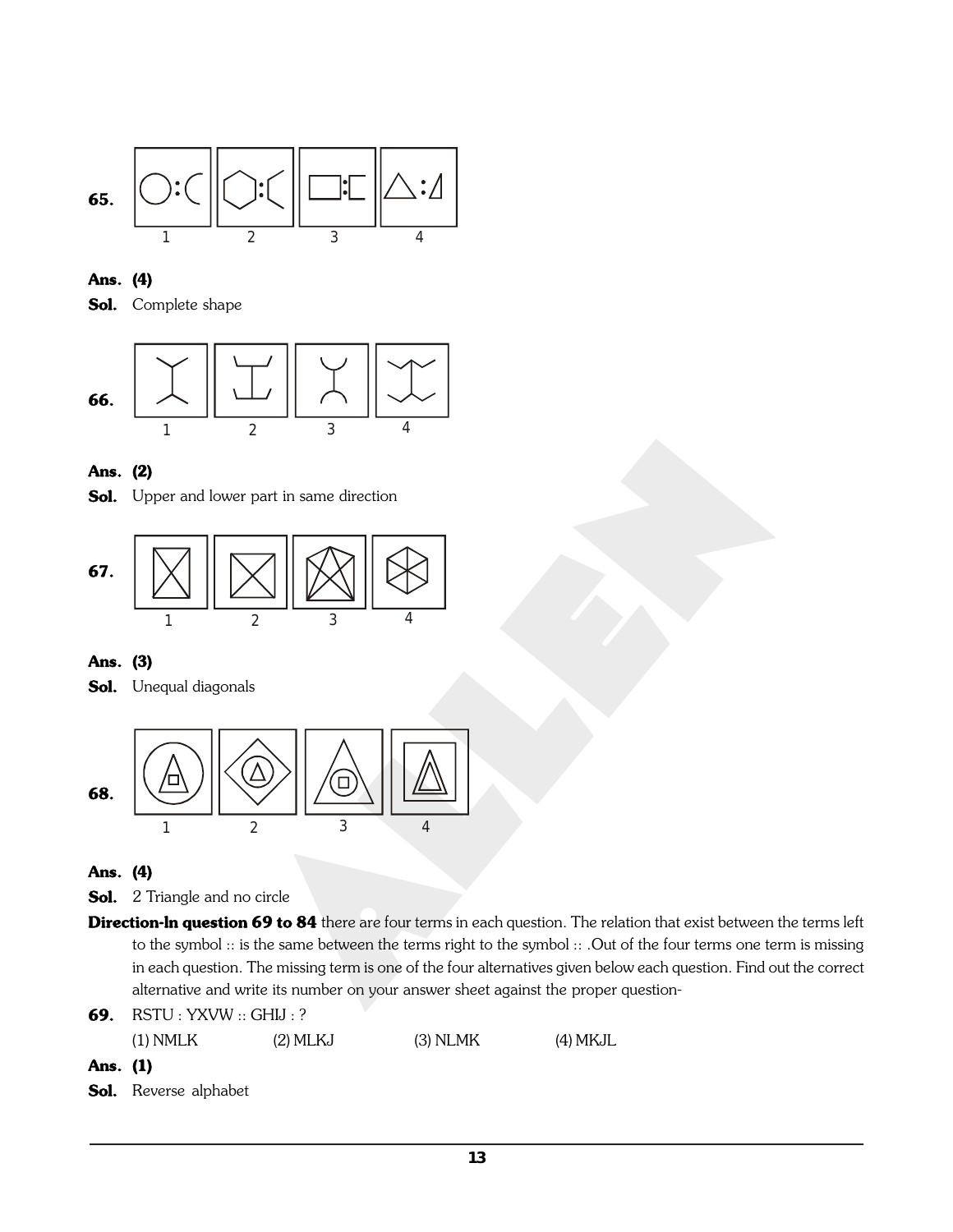

## **Ans. (4)**

**Sol.** Complete shape



## **Ans. (2)**

**Sol.** Upper and lower part in same direction



## **Ans. (3)**

**Sol.** Unequal diagonals



## **Ans. (4)**

- **Sol.** 2 Triangle and no circle
- **Direction-ln question 69 to 84** there are four terms in each question. The relation that exist between the terms left to the symbol :: is the same between the terms right to the symbol :: .Out of the four terms one term is missing in each question. The missing term is one of the four alternatives given below each question. Find out the correct alternative and write its number on your answer sheet against the proper question-
- **69.** RSTU : YXVW :: GHIJ : ?

(1) NMLK (2) MLKJ (3) NLMK (4) MKJL

## **Ans. (1)**

**Sol.** Reverse alphabet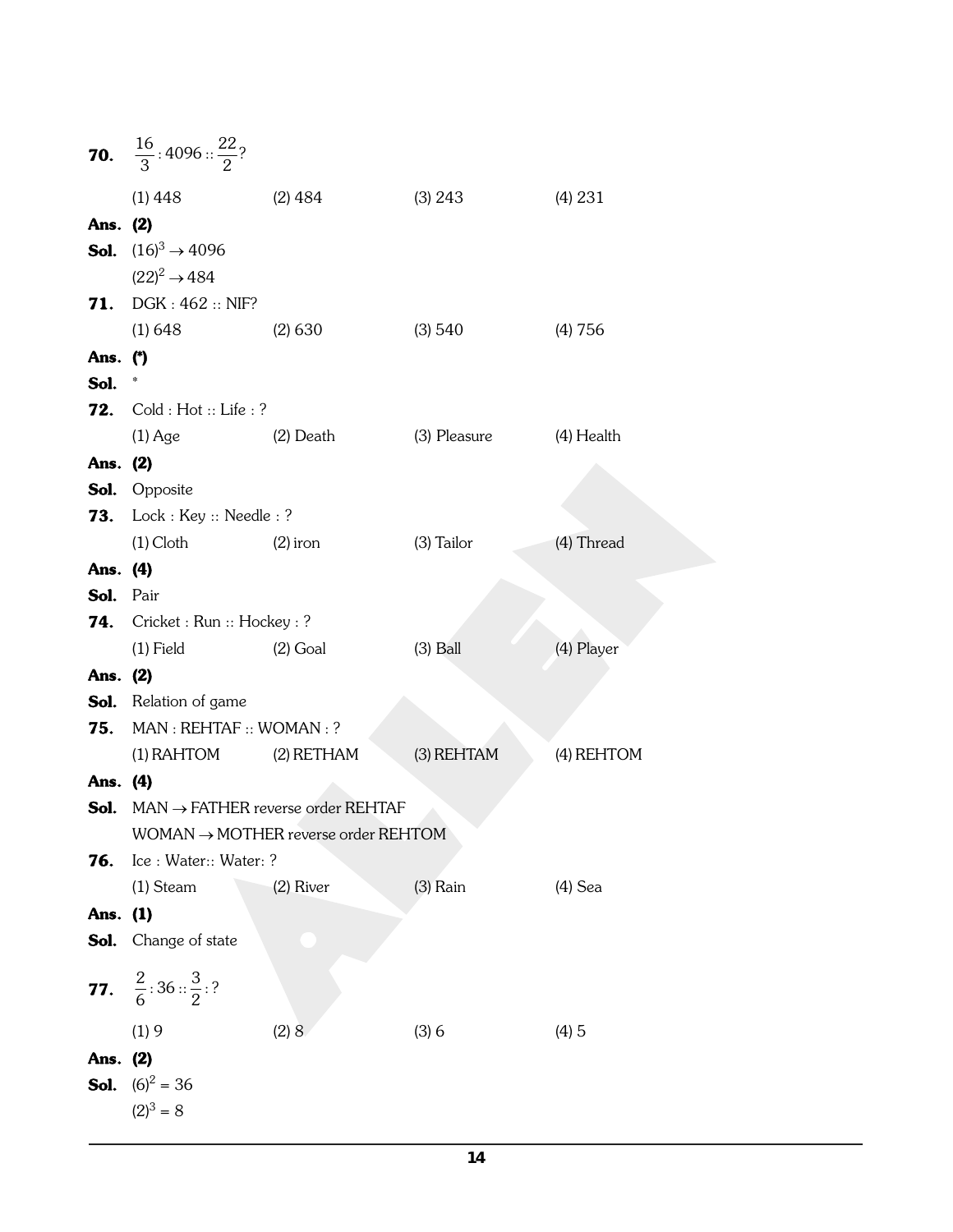|           | <b>70.</b> $\frac{16}{3}$ : 4096 :: $\frac{22}{2}$ ? |                                                           |                         |            |  |  |  |
|-----------|------------------------------------------------------|-----------------------------------------------------------|-------------------------|------------|--|--|--|
|           | $(1)$ 448                                            | $(2)$ 484                                                 | (3) 243                 | (4) 231    |  |  |  |
| Ans. (2)  |                                                      |                                                           |                         |            |  |  |  |
|           | <b>Sol.</b> $(16)^3 \rightarrow 4096$                |                                                           |                         |            |  |  |  |
|           | $(22)^2 \rightarrow 484$                             |                                                           |                         |            |  |  |  |
| 71.       | DGK: 462: NIF?                                       |                                                           |                         |            |  |  |  |
| Ans. (*)  | (1) 648                                              | $(2)$ 630                                                 | (3) 540                 | (4) 756    |  |  |  |
| Sol.      | $\ast$                                               |                                                           |                         |            |  |  |  |
| 72.       | Cold : Hot :: Life : ?                               |                                                           |                         |            |  |  |  |
|           | $(1)$ Age $(2)$ Death                                |                                                           | (3) Pleasure (4) Health |            |  |  |  |
| Ans. (2)  |                                                      |                                                           |                         |            |  |  |  |
|           | <b>Sol.</b> Opposite                                 |                                                           |                         |            |  |  |  |
|           | <b>73.</b> Lock : Key :: Needle : ?                  |                                                           |                         |            |  |  |  |
|           | $(1)$ Cloth                                          | (2) iron                                                  | (3) Tailor              | (4) Thread |  |  |  |
| Ans. (4)  |                                                      |                                                           |                         |            |  |  |  |
| Sol. Pair |                                                      |                                                           |                         |            |  |  |  |
|           | <b>74.</b> Cricket : Run :: Hockey : ?               |                                                           |                         |            |  |  |  |
| Ans. (2)  | $(1)$ Field                                          | $(2)$ Goal                                                | $(3)$ Ball              | (4) Player |  |  |  |
|           | <b>Sol.</b> Relation of game                         |                                                           |                         |            |  |  |  |
|           | <b>75.</b> MAN : REHTAF :: WOMAN : ?                 |                                                           |                         |            |  |  |  |
|           | (1) RAHTOM (2) RETHAM                                |                                                           | (3) REHTAM              | (4) REHTOM |  |  |  |
| Ans. (4)  |                                                      |                                                           |                         |            |  |  |  |
|           |                                                      | <b>Sol.</b> MAN $\rightarrow$ FATHER reverse order REHTAF |                         |            |  |  |  |
|           | $WOMAN \rightarrow MOTHER$ reverse order REHTOM      |                                                           |                         |            |  |  |  |
| 76.       | Ice : Water:: Water: ?                               |                                                           |                         |            |  |  |  |
|           | $(1)$ Steam                                          | (2) River                                                 | $(3)$ Rain              | $(4)$ Sea  |  |  |  |
| Ans. (1)  | <b>Sol.</b> Change of state                          |                                                           |                         |            |  |  |  |
|           |                                                      |                                                           |                         |            |  |  |  |
|           | <b>77.</b> $\frac{2}{6}$ : 36 :: $\frac{3}{2}$ : ?   |                                                           |                         |            |  |  |  |
|           | (1)9                                                 | (2) 8                                                     | (3)6                    | (4)5       |  |  |  |
| Ans. (2)  |                                                      |                                                           |                         |            |  |  |  |
|           | <b>Sol.</b> $(6)^2 = 36$<br>$(2)^3 = 8$              |                                                           |                         |            |  |  |  |
|           |                                                      |                                                           |                         |            |  |  |  |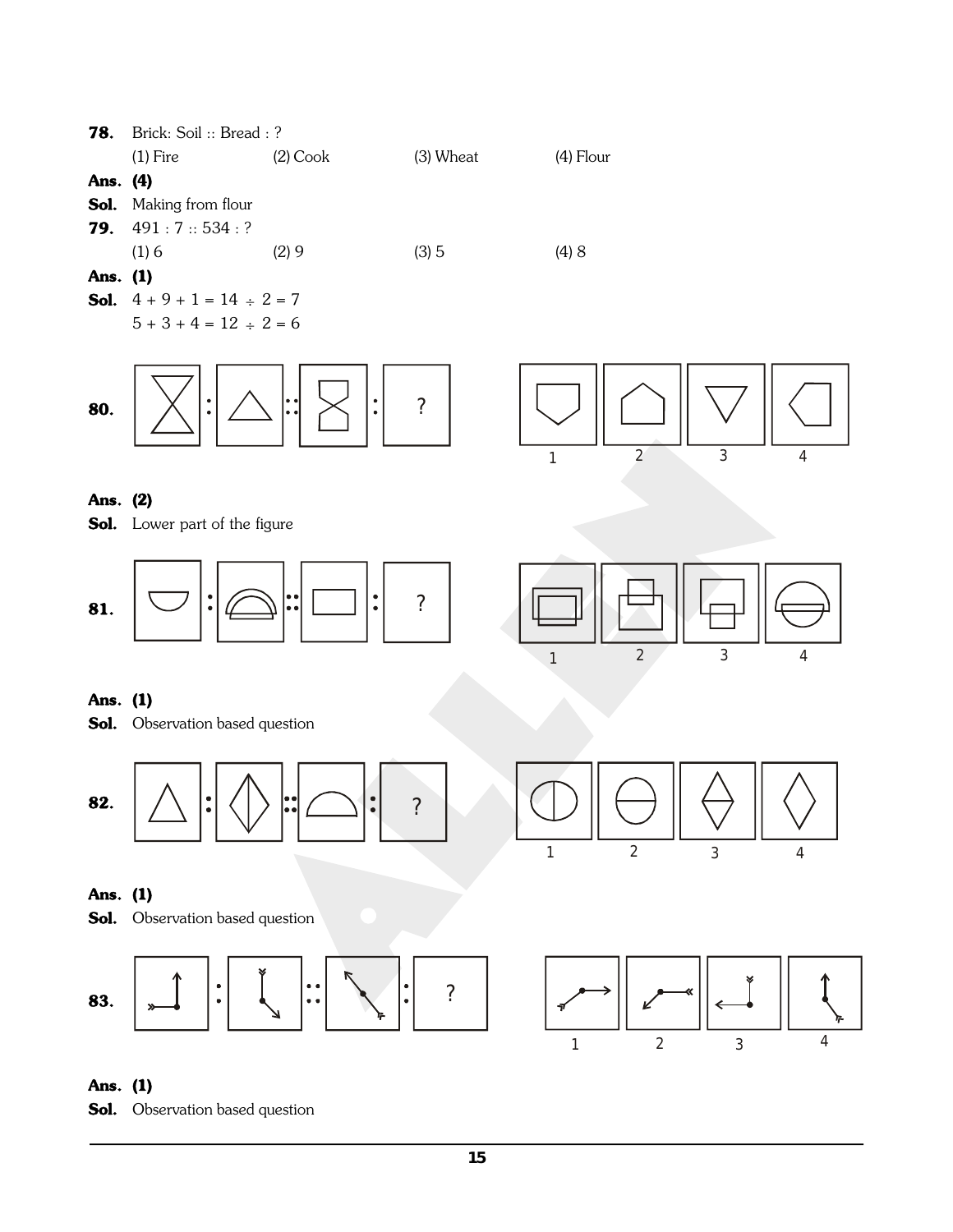

## **Ans. (1)**

**Sol.** Observation based question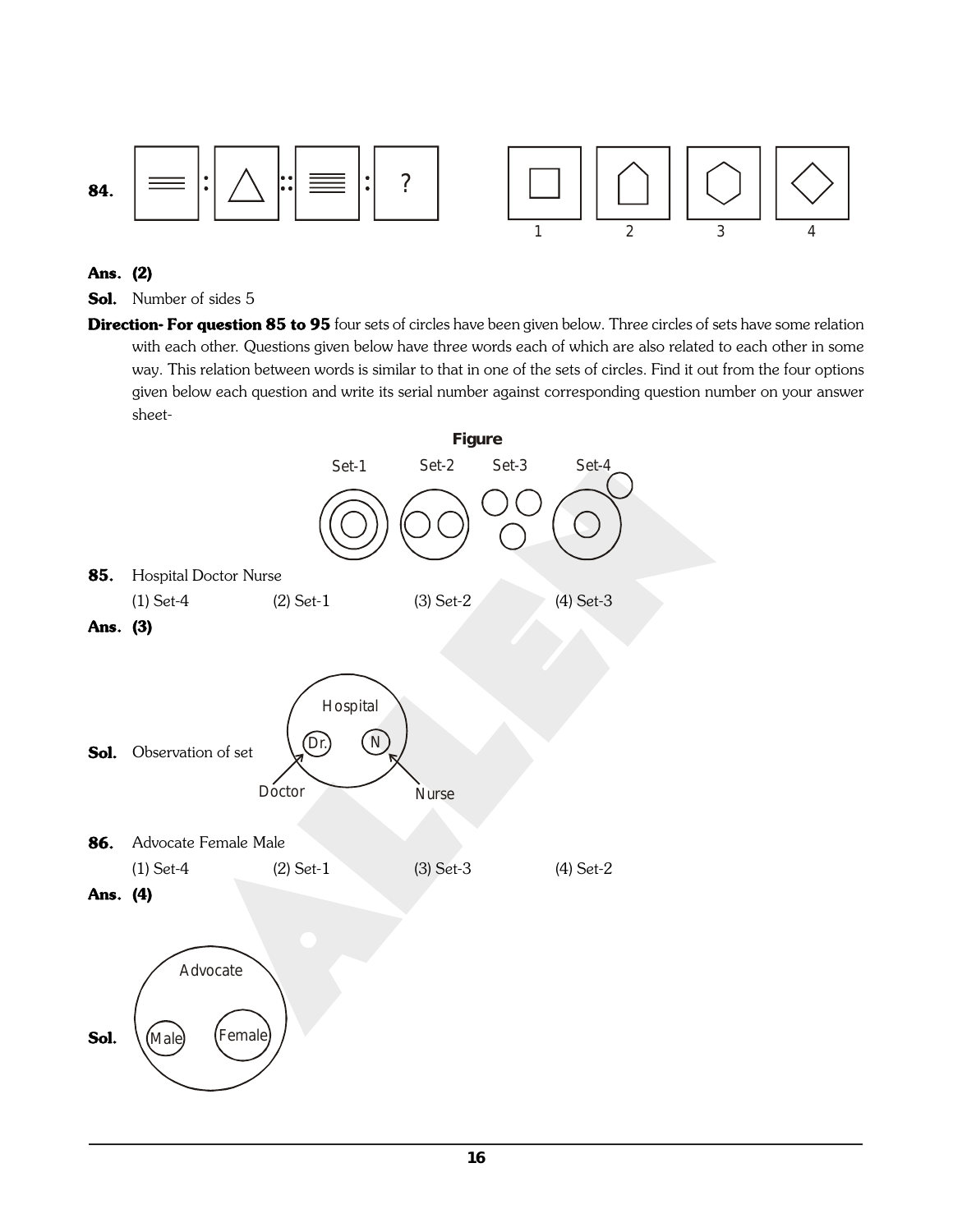



## **Ans. (2)**

- **Sol.** Number of sides 5
- **Direction- For question 85 to 95** four sets of circles have been given below. Three circles of sets have some relation with each other. Questions given below have three words each of which are also related to each other in some way. This relation between words is similar to that in one of the sets of circles. Find it out from the four options given below each question and write its serial number against corresponding question number on your answer sheet-

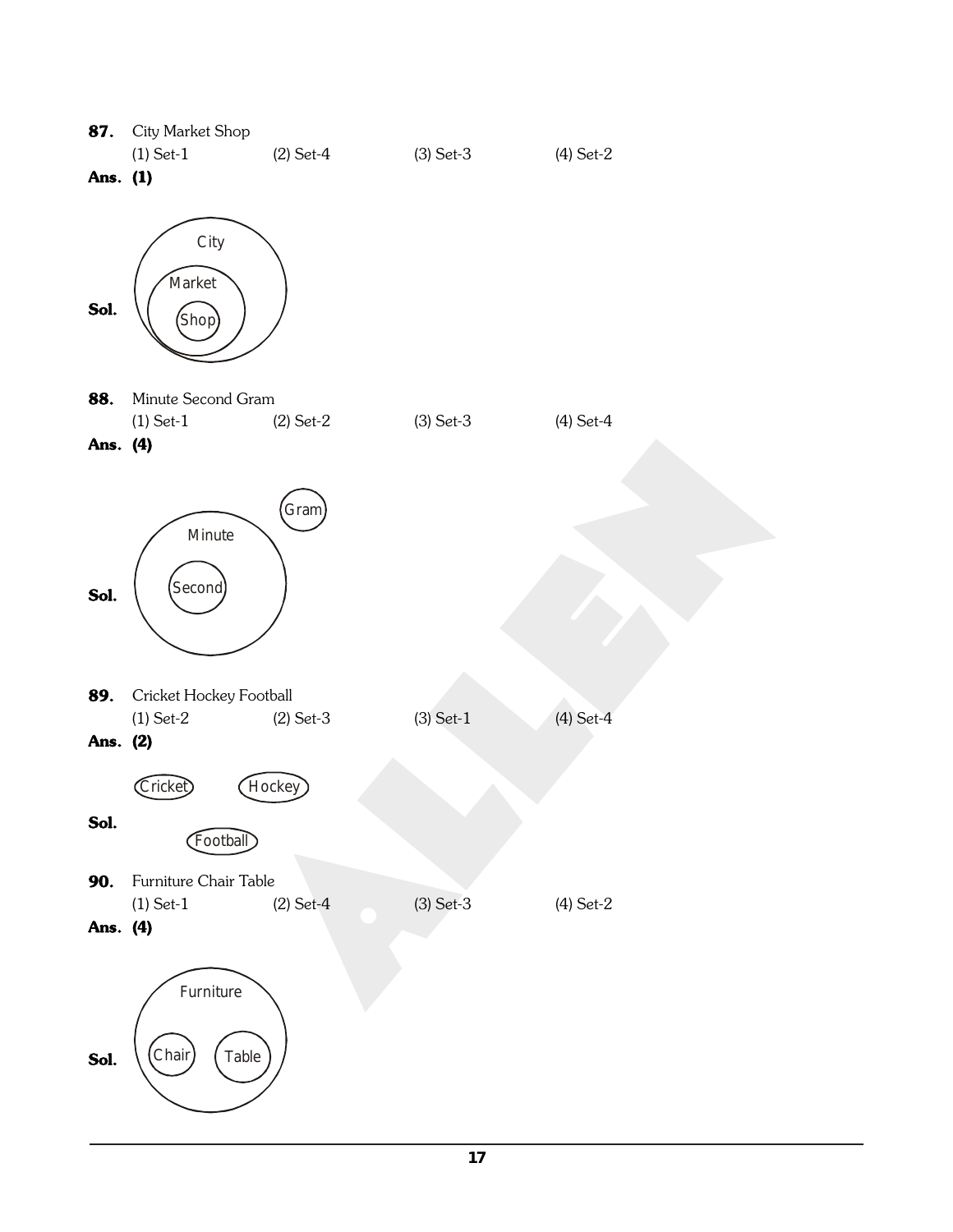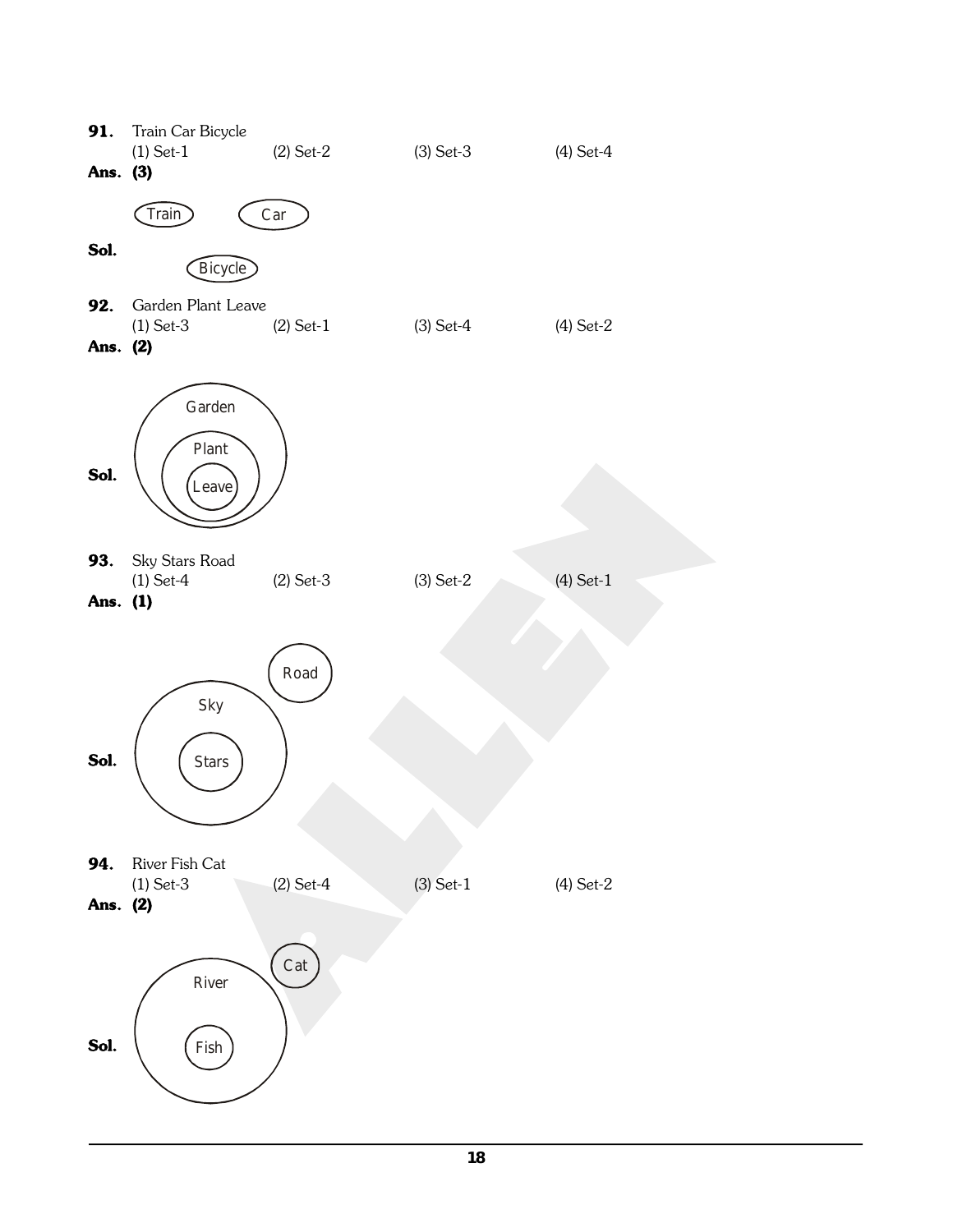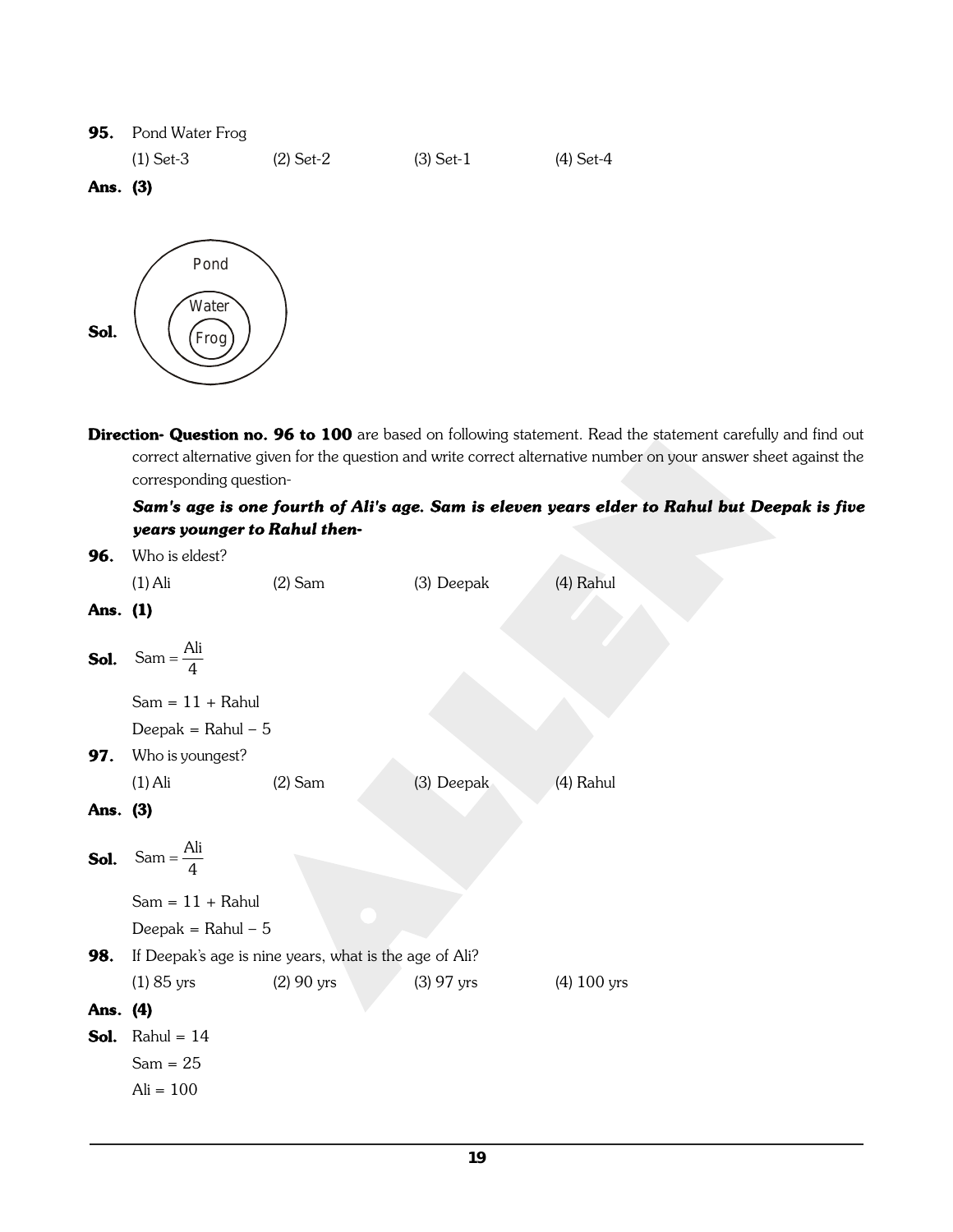#### **95.** Pond Water Frog

(1) Set-3 (2) Set-2 (3) Set-1 (4) Set-4

## **Ans. (3)**



**Direction- Question no. 96 to 100** are based on following statement. Read the statement carefully and find out correct alternative given for the question and write correct alternative number on your answer sheet against the corresponding question-

## *Sam's age is one fourth of Ali's age. Sam is eleven years elder to Rahul but Deepak is five years younger to Rahul then-*

| 96.      | Who is eldest?                           |                                                        |              |               |
|----------|------------------------------------------|--------------------------------------------------------|--------------|---------------|
|          | $(1)$ Ali                                | $(2)$ Sam                                              | (3) Deepak   | (4) Rahul     |
| Ans. (1) |                                          |                                                        |              |               |
|          | <b>Sol.</b> Sam = $\frac{\text{Ali}}{4}$ |                                                        |              |               |
|          | $Sam = 11 + Rahul$                       |                                                        |              |               |
|          | Deepak = Rahul $-5$                      |                                                        |              |               |
| 97.      | Who is youngest?                         |                                                        |              |               |
|          | $(1)$ Ali                                | $(2)$ Sam                                              | (3) Deepak   | (4) Rahul     |
| Ans. (3) |                                          |                                                        |              |               |
| Sol.     | Sam = $\frac{Ali}{4}$                    |                                                        |              |               |
|          | $Sam = 11 + Rahul$                       |                                                        |              |               |
|          | Deepak = Rahul $-5$                      |                                                        |              |               |
| 98.      |                                          | If Deepak's age is nine years, what is the age of Ali? |              |               |
|          | $(1) 85$ yrs                             | $(2)$ 90 yrs                                           | $(3)$ 97 yrs | $(4)$ 100 yrs |
| Ans. (4) |                                          |                                                        |              |               |
|          | <b>Sol.</b> Rahul = $14$                 |                                                        |              |               |
|          | $Sam = 25$                               |                                                        |              |               |
|          | $Ali = 100$                              |                                                        |              |               |
|          |                                          |                                                        |              |               |